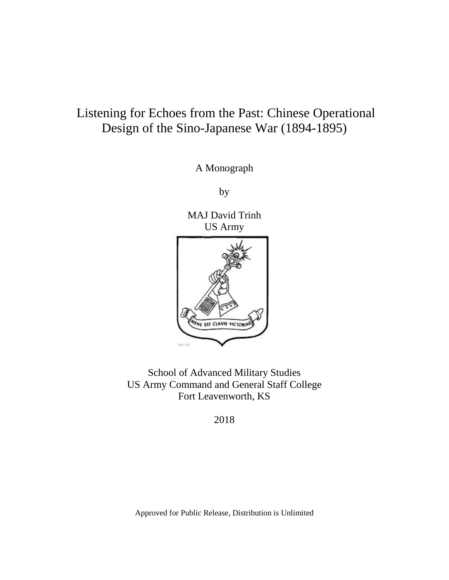# Listening for Echoes from the Past: Chinese Operational Design of the Sino-Japanese War (1894-1895)

A Monograph

by

MAJ David Trinh US Army



School of Advanced Military Studies US Army Command and General Staff College Fort Leavenworth, KS

2018

Approved for Public Release, Distribution is Unlimited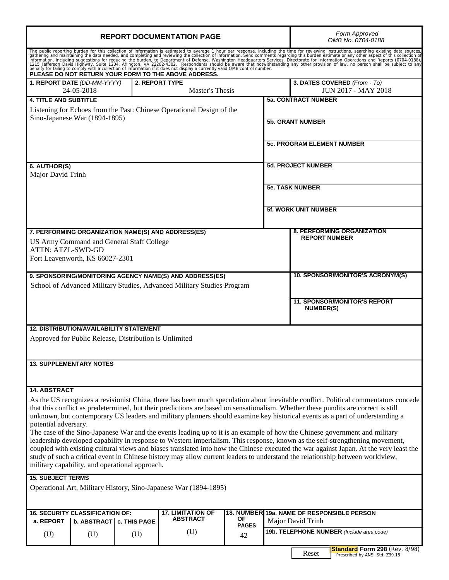| <b>REPORT DOCUMENTATION PAGE</b>                                                                                                                                                                                                                                                                                                                                                                          |                           | Form Approved<br>OMB No. 0704-0188                                              |
|-----------------------------------------------------------------------------------------------------------------------------------------------------------------------------------------------------------------------------------------------------------------------------------------------------------------------------------------------------------------------------------------------------------|---------------------------|---------------------------------------------------------------------------------|
| The public reporting burden for this collection of information is estimated to average 1 hour per response, including the time for reviewing instructions, searching existing data sources, gathering and maintaining the data<br>PLEASE DO NOT RETURN YOUR FORM TO THE ABOVE ADDRESS.                                                                                                                    |                           |                                                                                 |
| 1. REPORT DATE (DD-MM-YYYY)<br>2. REPORT TYPE<br>24-05-2018                                                                                                                                                                                                                                                                                                                                               | <b>Master's Thesis</b>    | 3. DATES COVERED (From - To)<br><b>JUN 2017 - MAY 2018</b>                      |
| <b>4. TITLE AND SUBTITLE</b>                                                                                                                                                                                                                                                                                                                                                                              |                           | <b>5a. CONTRACT NUMBER</b>                                                      |
| Listening for Echoes from the Past: Chinese Operational Design of the                                                                                                                                                                                                                                                                                                                                     |                           |                                                                                 |
| Sino-Japanese War (1894-1895)                                                                                                                                                                                                                                                                                                                                                                             |                           | <b>5b. GRANT NUMBER</b>                                                         |
|                                                                                                                                                                                                                                                                                                                                                                                                           |                           | <b>5c. PROGRAM ELEMENT NUMBER</b>                                               |
| 6. AUTHOR(S)                                                                                                                                                                                                                                                                                                                                                                                              |                           | <b>5d. PROJECT NUMBER</b>                                                       |
| Major David Trinh                                                                                                                                                                                                                                                                                                                                                                                         |                           |                                                                                 |
|                                                                                                                                                                                                                                                                                                                                                                                                           |                           | <b>5e. TASK NUMBER</b>                                                          |
|                                                                                                                                                                                                                                                                                                                                                                                                           |                           | <b>5f. WORK UNIT NUMBER</b>                                                     |
| 7. PERFORMING ORGANIZATION NAME(S) AND ADDRESS(ES)                                                                                                                                                                                                                                                                                                                                                        |                           | <b>8. PERFORMING ORGANIZATION</b>                                               |
| US Army Command and General Staff College                                                                                                                                                                                                                                                                                                                                                                 |                           | <b>REPORT NUMBER</b>                                                            |
| <b>ATTN: ATZL-SWD-GD</b>                                                                                                                                                                                                                                                                                                                                                                                  |                           |                                                                                 |
| Fort Leavenworth, KS 66027-2301                                                                                                                                                                                                                                                                                                                                                                           |                           |                                                                                 |
| 9. SPONSORING/MONITORING AGENCY NAME(S) AND ADDRESS(ES)                                                                                                                                                                                                                                                                                                                                                   |                           | 10. SPONSOR/MONITOR'S ACRONYM(S)                                                |
| School of Advanced Military Studies, Advanced Military Studies Program                                                                                                                                                                                                                                                                                                                                    |                           |                                                                                 |
|                                                                                                                                                                                                                                                                                                                                                                                                           |                           | <b>11. SPONSOR/MONITOR'S REPORT</b>                                             |
|                                                                                                                                                                                                                                                                                                                                                                                                           |                           | NUMBER(S)                                                                       |
| <b>12. DISTRIBUTION/AVAILABILITY STATEMENT</b>                                                                                                                                                                                                                                                                                                                                                            |                           |                                                                                 |
| Approved for Public Release, Distribution is Unlimited                                                                                                                                                                                                                                                                                                                                                    |                           |                                                                                 |
| <b>13. SUPPLEMENTARY NOTES</b>                                                                                                                                                                                                                                                                                                                                                                            |                           |                                                                                 |
|                                                                                                                                                                                                                                                                                                                                                                                                           |                           |                                                                                 |
| <b>14. ABSTRACT</b>                                                                                                                                                                                                                                                                                                                                                                                       |                           |                                                                                 |
| As the US recognizes a revisionist China, there has been much speculation about inevitable conflict. Political commentators concede<br>that this conflict as predetermined, but their predictions are based on sensationalism. Whether these pundits are correct is still<br>unknown, but contemporary US leaders and military planners should examine key historical events as a part of understanding a |                           |                                                                                 |
| potential adversary.                                                                                                                                                                                                                                                                                                                                                                                      |                           |                                                                                 |
| The case of the Sino-Japanese War and the events leading up to it is an example of how the Chinese government and military<br>leadership developed capability in response to Western imperialism. This response, known as the self-strengthening movement,                                                                                                                                                |                           |                                                                                 |
| coupled with existing cultural views and biases translated into how the Chinese executed the war against Japan. At the very least the                                                                                                                                                                                                                                                                     |                           |                                                                                 |
| study of such a critical event in Chinese history may allow current leaders to understand the relationship between worldview,<br>military capability, and operational approach.                                                                                                                                                                                                                           |                           |                                                                                 |
| <b>15. SUBJECT TERMS</b>                                                                                                                                                                                                                                                                                                                                                                                  |                           |                                                                                 |
| Operational Art, Military History, Sino-Japanese War (1894-1895)                                                                                                                                                                                                                                                                                                                                          |                           |                                                                                 |
|                                                                                                                                                                                                                                                                                                                                                                                                           |                           |                                                                                 |
| <b>16. SECURITY CLASSIFICATION OF:</b><br><b>17. LIMITATION OF</b>                                                                                                                                                                                                                                                                                                                                        |                           | 18. NUMBER 19a. NAME OF RESPONSIBLE PERSON                                      |
| <b>ABSTRACT</b><br>a. REPORT<br><b>b. ABSTRACT</b><br>c. THIS PAGE                                                                                                                                                                                                                                                                                                                                        | <b>OF</b><br><b>PAGES</b> | Major David Trinh                                                               |
| (U)<br>(U)<br>(U)<br>(U)                                                                                                                                                                                                                                                                                                                                                                                  | 42                        | 19b. TELEPHONE NUMBER (Include area code)                                       |
|                                                                                                                                                                                                                                                                                                                                                                                                           |                           | <b>Standard Form 298</b> (Rev. 8/98)<br>Reset<br>Prescribed by ANSI Std. Z39.18 |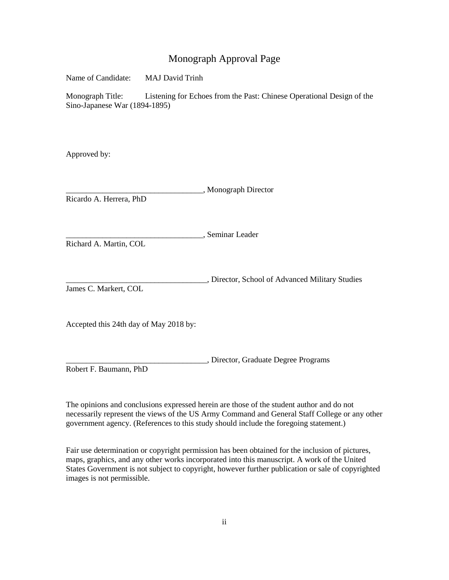## Monograph Approval Page

Name of Candidate: MAJ David Trinh

Monograph Title: Listening for Echoes from the Past: Chinese Operational Design of the Sino-Japanese War (1894-1895)

Approved by:

\_\_\_\_\_\_\_\_\_\_\_\_\_\_\_\_\_\_\_\_\_\_\_\_\_\_\_\_\_\_\_\_\_\_, Monograph Director Ricardo A. Herrera, PhD

\_\_\_\_\_\_\_\_\_\_\_\_\_\_\_\_\_\_\_\_\_\_\_\_\_\_\_\_\_\_\_\_\_\_, Seminar Leader

Richard A. Martin, COL

\_\_\_\_\_\_\_\_\_\_\_\_\_\_\_\_\_\_\_\_\_\_\_\_\_\_\_\_\_\_\_\_\_\_\_, Director, School of Advanced Military Studies James C. Markert, COL

Accepted this 24th day of May 2018 by:

\_\_\_\_\_\_\_\_\_\_\_\_\_\_\_\_\_\_\_\_\_\_\_\_\_\_\_\_\_\_\_\_\_\_\_, Director, Graduate Degree Programs Robert F. Baumann, PhD

The opinions and conclusions expressed herein are those of the student author and do not necessarily represent the views of the US Army Command and General Staff College or any other government agency. (References to this study should include the foregoing statement.)

Fair use determination or copyright permission has been obtained for the inclusion of pictures, maps, graphics, and any other works incorporated into this manuscript. A work of the United States Government is not subject to copyright, however further publication or sale of copyrighted images is not permissible.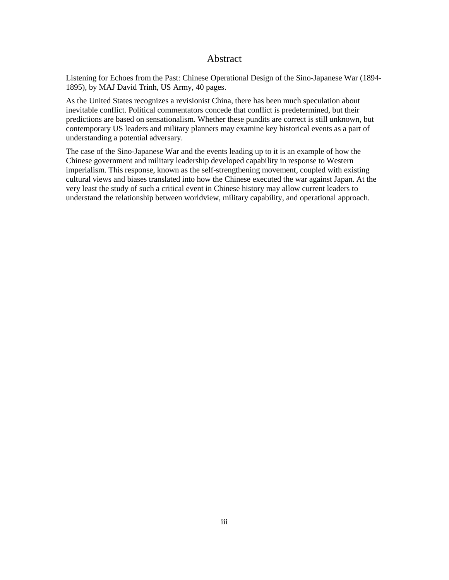#### Abstract

<span id="page-3-0"></span>Listening for Echoes from the Past: Chinese Operational Design of the Sino-Japanese War (1894- 1895), by MAJ David Trinh, US Army, 40 pages.

As the United States recognizes a revisionist China, there has been much speculation about inevitable conflict. Political commentators concede that conflict is predetermined, but their predictions are based on sensationalism. Whether these pundits are correct is still unknown, but contemporary US leaders and military planners may examine key historical events as a part of understanding a potential adversary.

The case of the Sino-Japanese War and the events leading up to it is an example of how the Chinese government and military leadership developed capability in response to Western imperialism. This response, known as the self-strengthening movement, coupled with existing cultural views and biases translated into how the Chinese executed the war against Japan. At the very least the study of such a critical event in Chinese history may allow current leaders to understand the relationship between worldview, military capability, and operational approach.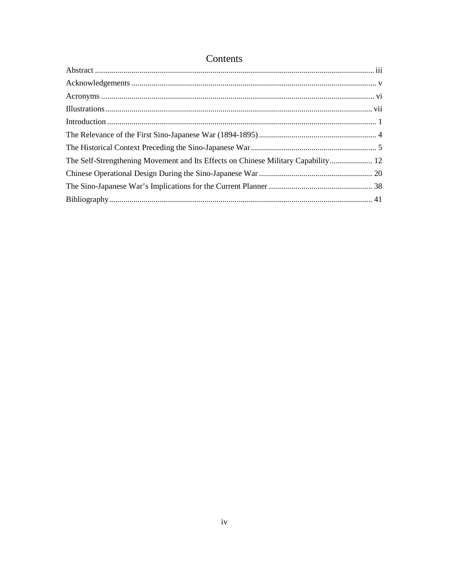| The Self-Strengthening Movement and Its Effects on Chinese Military Capability 12 |  |
|-----------------------------------------------------------------------------------|--|
|                                                                                   |  |
|                                                                                   |  |
|                                                                                   |  |
|                                                                                   |  |

## Contents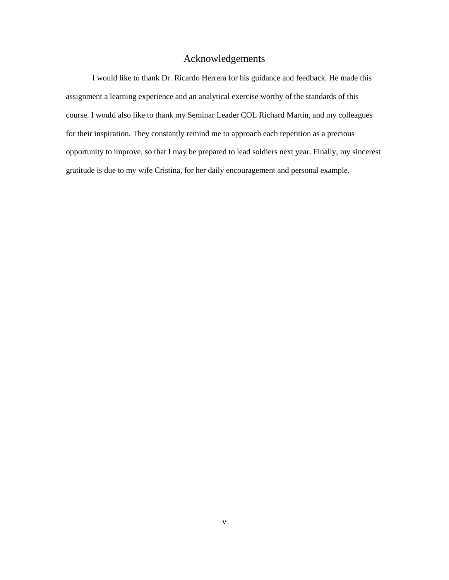## Acknowledgements

<span id="page-5-0"></span>I would like to thank Dr. Ricardo Herrera for his guidance and feedback. He made this assignment a learning experience and an analytical exercise worthy of the standards of this course. I would also like to thank my Seminar Leader COL Richard Martin, and my colleagues for their inspiration. They constantly remind me to approach each repetition as a precious opportunity to improve, so that I may be prepared to lead soldiers next year. Finally, my sincerest gratitude is due to my wife Cristina, for her daily encouragement and personal example.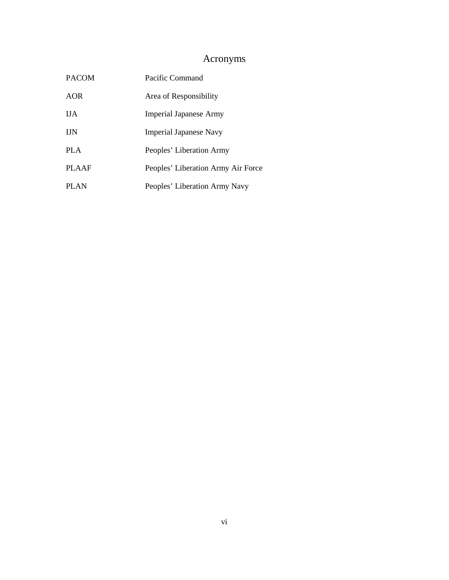## Acronyms

<span id="page-6-0"></span>

| <b>PACOM</b> | Pacific Command                    |
|--------------|------------------------------------|
| <b>AOR</b>   | Area of Responsibility             |
| <b>IJA</b>   | Imperial Japanese Army             |
| <b>IJN</b>   | <b>Imperial Japanese Navy</b>      |
| <b>PLA</b>   | Peoples' Liberation Army           |
| <b>PLAAF</b> | Peoples' Liberation Army Air Force |
| <b>PLAN</b>  | Peoples' Liberation Army Navy      |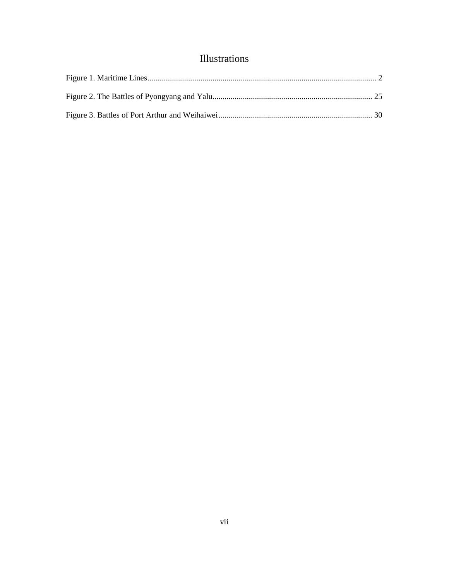## Illustrations

<span id="page-7-0"></span>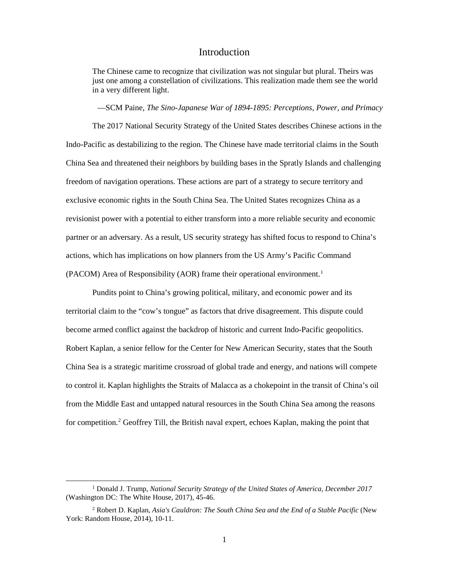#### Introduction

<span id="page-8-0"></span>The Chinese came to recognize that civilization was not singular but plural. Theirs was just one among a constellation of civilizations. This realization made them see the world in a very different light.

—SCM Paine, *The Sino-Japanese War of 1894-1895: Perceptions, Power, and Primacy*

The 2017 National Security Strategy of the United States describes Chinese actions in the Indo-Pacific as destabilizing to the region. The Chinese have made territorial claims in the South China Sea and threatened their neighbors by building bases in the Spratly Islands and challenging freedom of navigation operations. These actions are part of a strategy to secure territory and exclusive economic rights in the South China Sea. The United States recognizes China as a revisionist power with a potential to either transform into a more reliable security and economic partner or an adversary. As a result, US security strategy has shifted focus to respond to China's actions, which has implications on how planners from the US Army's Pacific Command (PACOM) Area of Responsibility (AOR) frame their operational environment.<sup>[1](#page-8-1)</sup>

Pundits point to China's growing political, military, and economic power and its territorial claim to the "cow's tongue" as factors that drive disagreement. This dispute could become armed conflict against the backdrop of historic and current Indo-Pacific geopolitics. Robert Kaplan, a senior fellow for the Center for New American Security, states that the South China Sea is a strategic maritime crossroad of global trade and energy, and nations will compete to control it. Kaplan highlights the Straits of Malacca as a chokepoint in the transit of China's oil from the Middle East and untapped natural resources in the South China Sea among the reasons for competition.<sup>2</sup> Geoffrey Till, the British naval expert, echoes Kaplan, making the point that

<span id="page-8-1"></span> <sup>1</sup> Donald J. Trump, *National Security Strategy of the United States of America, December 2017*  (Washington DC: The White House, 2017), 45-46.

<span id="page-8-2"></span><sup>2</sup> Robert D. Kaplan, *Asia's Cauldron: The South China Sea and the End of a Stable Pacific* (New York: Random House, 2014), 10-11.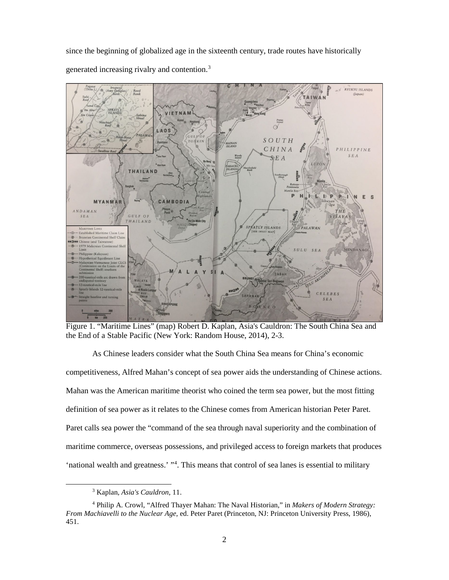since the beginning of globalized age in the sixteenth century, trade routes have historically generated increasing rivalry and contention. [3](#page-9-1)



<span id="page-9-0"></span>Figure 1. "Maritime Lines" (map) Robert D. Kaplan, Asia's Cauldron: The South China Sea and the End of a Stable Pacific (New York: Random House, 2014), 2-3.

As Chinese leaders consider what the South China Sea means for China's economic competitiveness, Alfred Mahan's concept of sea power aids the understanding of Chinese actions. Mahan was the American maritime theorist who coined the term sea power, but the most fitting definition of sea power as it relates to the Chinese comes from American historian Peter Paret. Paret calls sea power the "command of the sea through naval superiority and the combination of maritime commerce, overseas possessions, and privileged access to foreign markets that produces 'national wealth and greatness.' "<sup>[4](#page-9-2)</sup>. This means that control of sea lanes is essential to military

 <sup>3</sup> Kaplan, *Asia's Cauldron*, 11.

<span id="page-9-2"></span><span id="page-9-1"></span><sup>4</sup> Philip A. Crowl, "Alfred Thayer Mahan: The Naval Historian," in *Makers of Modern Strategy: From Machiavelli to the Nuclear Age,* ed. Peter Paret (Princeton, NJ: Princeton University Press, 1986), 451.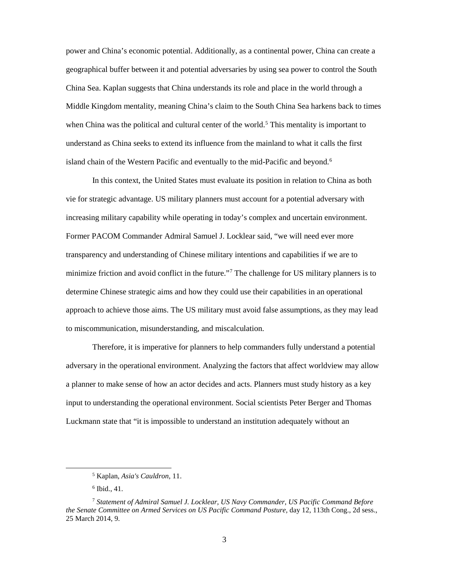power and China's economic potential. Additionally, as a continental power, China can create a geographical buffer between it and potential adversaries by using sea power to control the South China Sea. Kaplan suggests that China understands its role and place in the world through a Middle Kingdom mentality, meaning China's claim to the South China Sea harkens back to times when China was the political and cultural center of the world.<sup>[5](#page-10-0)</sup> This mentality is important to understand as China seeks to extend its influence from the mainland to what it calls the first island chain of the Western Pacific and eventually to the mid-Pacific and beyond.<sup>6</sup>

In this context, the United States must evaluate its position in relation to China as both vie for strategic advantage. US military planners must account for a potential adversary with increasing military capability while operating in today's complex and uncertain environment. Former PACOM Commander Admiral Samuel J. Locklear said, "we will need ever more transparency and understanding of Chinese military intentions and capabilities if we are to minimize friction and avoid conflict in the future."[7](#page-10-2) The challenge for US military planners is to determine Chinese strategic aims and how they could use their capabilities in an operational approach to achieve those aims. The US military must avoid false assumptions, as they may lead to miscommunication, misunderstanding, and miscalculation.

Therefore, it is imperative for planners to help commanders fully understand a potential adversary in the operational environment. Analyzing the factors that affect worldview may allow a planner to make sense of how an actor decides and acts. Planners must study history as a key input to understanding the operational environment. Social scientists Peter Berger and Thomas Luckmann state that "it is impossible to understand an institution adequately without an

 <sup>5</sup> Kaplan, *Asia's Cauldron*, 11.

 $6$  Ibid., 41.

<span id="page-10-2"></span><span id="page-10-1"></span><span id="page-10-0"></span><sup>7</sup> *Statement of Admiral Samuel J. Locklear, US Navy Commander, US Pacific Command Before the Senate Committee on Armed Services on US Pacific Command Posture,* day 12, 113th Cong., 2d sess., 25 March 2014, 9.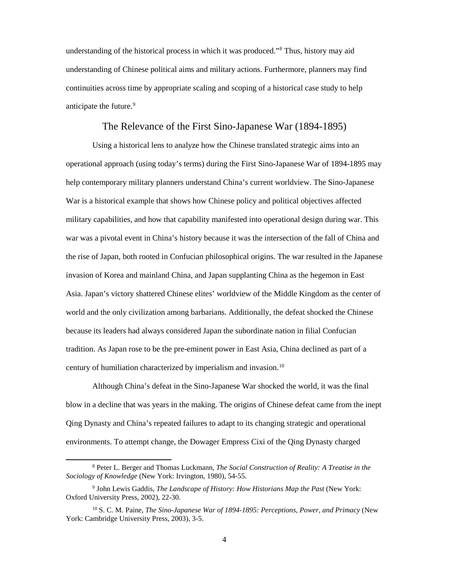understanding of the historical process in which it was produced."[8](#page-11-1) Thus, history may aid understanding of Chinese political aims and military actions. Furthermore, planners may find continuities across time by appropriate scaling and scoping of a historical case study to help anticipate the future. [9](#page-11-2)

#### The Relevance of the First Sino-Japanese War (1894-1895)

<span id="page-11-0"></span>Using a historical lens to analyze how the Chinese translated strategic aims into an operational approach (using today's terms) during the First Sino-Japanese War of 1894-1895 may help contemporary military planners understand China's current worldview. The Sino-Japanese War is a historical example that shows how Chinese policy and political objectives affected military capabilities, and how that capability manifested into operational design during war. This war was a pivotal event in China's history because it was the intersection of the fall of China and the rise of Japan, both rooted in Confucian philosophical origins. The war resulted in the Japanese invasion of Korea and mainland China, and Japan supplanting China as the hegemon in East Asia. Japan's victory shattered Chinese elites' worldview of the Middle Kingdom as the center of world and the only civilization among barbarians. Additionally, the defeat shocked the Chinese because its leaders had always considered Japan the subordinate nation in filial Confucian tradition. As Japan rose to be the pre-eminent power in East Asia, China declined as part of a century of humiliation characterized by imperialism and invasion.<sup>[10](#page-11-3)</sup>

Although China's defeat in the Sino-Japanese War shocked the world, it was the final blow in a decline that was years in the making. The origins of Chinese defeat came from the inept Qing Dynasty and China's repeated failures to adapt to its changing strategic and operational environments. To attempt change, the Dowager Empress Cixi of the Qing Dynasty charged

<span id="page-11-1"></span> <sup>8</sup> Peter L. Berger and Thomas Luckmann, *The Social Construction of Reality: A Treatise in the Sociology of Knowledge* (New York: Irvington, 1980), 54-55.

<span id="page-11-2"></span><sup>9</sup> John Lewis Gaddis, *The Landscape of History: How Historians Map the Past* (New York: Oxford University Press, 2002), 22-30.

<span id="page-11-3"></span><sup>10</sup> S. C. M. Paine, *The Sino-Japanese War of 1894-1895: Perceptions, Power, and Primacy* (New York: Cambridge University Press, 2003), 3-5.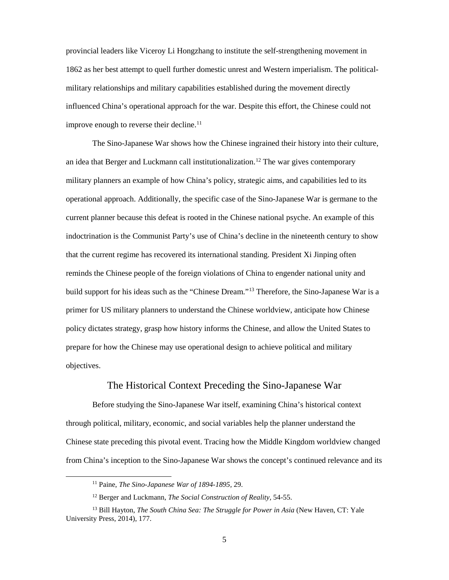provincial leaders like Viceroy Li Hongzhang to institute the self-strengthening movement in 1862 as her best attempt to quell further domestic unrest and Western imperialism. The politicalmilitary relationships and military capabilities established during the movement directly influenced China's operational approach for the war. Despite this effort, the Chinese could not improve enough to reverse their decline.<sup>[11](#page-12-1)</sup>

The Sino-Japanese War shows how the Chinese ingrained their history into their culture, an idea that Berger and Luckmann call institutionalization.<sup>[12](#page-12-2)</sup> The war gives contemporary military planners an example of how China's policy, strategic aims, and capabilities led to its operational approach. Additionally, the specific case of the Sino-Japanese War is germane to the current planner because this defeat is rooted in the Chinese national psyche. An example of this indoctrination is the Communist Party's use of China's decline in the nineteenth century to show that the current regime has recovered its international standing. President Xi Jinping often reminds the Chinese people of the foreign violations of China to engender national unity and build support for his ideas such as the "Chinese Dream."[13](#page-12-3) Therefore, the Sino-Japanese War is a primer for US military planners to understand the Chinese worldview, anticipate how Chinese policy dictates strategy, grasp how history informs the Chinese, and allow the United States to prepare for how the Chinese may use operational design to achieve political and military objectives.

#### The Historical Context Preceding the Sino-Japanese War

<span id="page-12-0"></span>Before studying the Sino-Japanese War itself, examining China's historical context through political, military, economic, and social variables help the planner understand the Chinese state preceding this pivotal event. Tracing how the Middle Kingdom worldview changed from China's inception to the Sino-Japanese War shows the concept's continued relevance and its

 <sup>11</sup> Paine, *The Sino-Japanese War of 1894-1895,* 29.

<sup>12</sup> Berger and Luckmann, *The Social Construction of Reality,* 54-55.

<span id="page-12-3"></span><span id="page-12-2"></span><span id="page-12-1"></span><sup>&</sup>lt;sup>13</sup> Bill Hayton, *The South China Sea: The Struggle for Power in Asia* (New Haven, CT: Yale University Press, 2014), 177.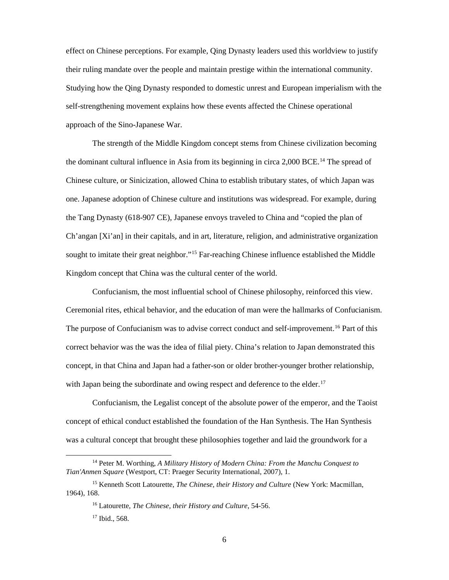effect on Chinese perceptions. For example, Qing Dynasty leaders used this worldview to justify their ruling mandate over the people and maintain prestige within the international community. Studying how the Qing Dynasty responded to domestic unrest and European imperialism with the self-strengthening movement explains how these events affected the Chinese operational approach of the Sino-Japanese War.

The strength of the Middle Kingdom concept stems from Chinese civilization becoming the dominant cultural influence in Asia from its beginning in circa 2,000 BCE.<sup>[14](#page-13-0)</sup> The spread of Chinese culture, or Sinicization, allowed China to establish tributary states, of which Japan was one. Japanese adoption of Chinese culture and institutions was widespread. For example, during the Tang Dynasty (618-907 CE), Japanese envoys traveled to China and "copied the plan of Ch'angan [Xi'an] in their capitals, and in art, literature, religion, and administrative organization sought to imitate their great neighbor."<sup>[15](#page-13-1)</sup> Far-reaching Chinese influence established the Middle Kingdom concept that China was the cultural center of the world.

Confucianism, the most influential school of Chinese philosophy, reinforced this view. Ceremonial rites, ethical behavior, and the education of man were the hallmarks of Confucianism. The purpose of Confucianism was to advise correct conduct and self-improvement.<sup>[16](#page-13-2)</sup> Part of this correct behavior was the was the idea of filial piety. China's relation to Japan demonstrated this concept, in that China and Japan had a father-son or older brother-younger brother relationship, with Japan being the subordinate and owing respect and deference to the elder.<sup>[17](#page-13-3)</sup>

Confucianism, the Legalist concept of the absolute power of the emperor, and the Taoist concept of ethical conduct established the foundation of the Han Synthesis. The Han Synthesis was a cultural concept that brought these philosophies together and laid the groundwork for a

<span id="page-13-0"></span> <sup>14</sup> Peter M. Worthing, *A Military History of Modern China: From the Manchu Conquest to Tian'Anmen Square* (Westport, CT: Praeger Security International, 2007), 1.

<span id="page-13-3"></span><span id="page-13-2"></span><span id="page-13-1"></span><sup>15</sup> Kenneth Scott Latourette, *The Chinese, their History and Culture* (New York: Macmillan, 1964), 168.

<sup>16</sup> Latourette, *The Chinese, their History and Culture*, 54-56.

<sup>17</sup> Ibid., 568.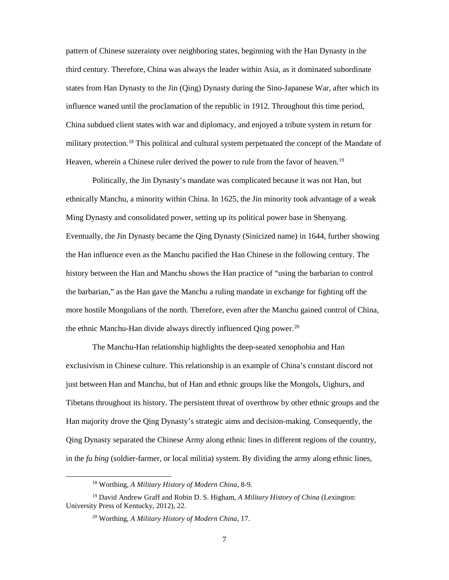pattern of Chinese suzerainty over neighboring states, beginning with the Han Dynasty in the third century. Therefore, China was always the leader within Asia, as it dominated subordinate states from Han Dynasty to the Jin (Qing) Dynasty during the Sino-Japanese War, after which its influence waned until the proclamation of the republic in 1912. Throughout this time period, China subdued client states with war and diplomacy, and enjoyed a tribute system in return for military protection.<sup>18</sup> This political and cultural system perpetuated the concept of the Mandate of Heaven, wherein a Chinese ruler derived the power to rule from the favor of heaven.<sup>[19](#page-14-1)</sup>

Politically, the Jin Dynasty's mandate was complicated because it was not Han, but ethnically Manchu, a minority within China. In 1625, the Jin minority took advantage of a weak Ming Dynasty and consolidated power, setting up its political power base in Shenyang. Eventually, the Jin Dynasty became the Qing Dynasty (Sinicized name) in 1644, further showing the Han influence even as the Manchu pacified the Han Chinese in the following century. The history between the Han and Manchu shows the Han practice of "using the barbarian to control the barbarian," as the Han gave the Manchu a ruling mandate in exchange for fighting off the more hostile Mongolians of the north. Therefore, even after the Manchu gained control of China, the ethnic Manchu-Han divide always directly influenced Qing power.<sup>[20](#page-14-2)</sup>

The Manchu-Han relationship highlights the deep-seated xenophobia and Han exclusivism in Chinese culture. This relationship is an example of China's constant discord not just between Han and Manchu, but of Han and ethnic groups like the Mongols, Uighurs, and Tibetans throughout its history. The persistent threat of overthrow by other ethnic groups and the Han majority drove the Qing Dynasty's strategic aims and decision-making. Consequently, the Qing Dynasty separated the Chinese Army along ethnic lines in different regions of the country, in the *fu bing* (soldier-farmer, or local militia) system. By dividing the army along ethnic lines,

 <sup>18</sup> Worthing, *A Military History of Modern China,* 8-9.

<span id="page-14-2"></span><span id="page-14-1"></span><span id="page-14-0"></span><sup>19</sup> David Andrew Graff and Robin D. S. Higham, *A Military History of China* (Lexington: University Press of Kentucky, 2012), 22.

<sup>20</sup> Worthing, *A Military History of Modern China,* 17.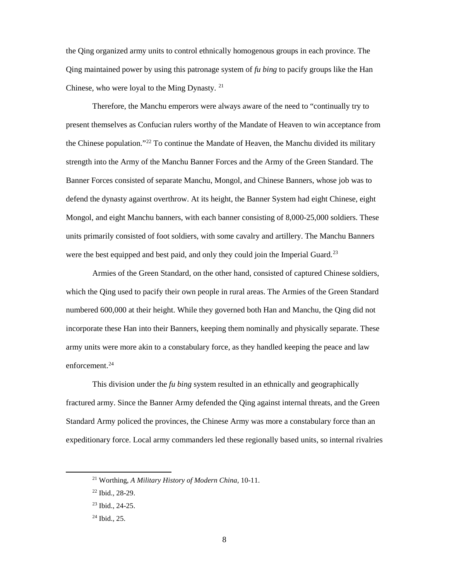the Qing organized army units to control ethnically homogenous groups in each province. The Qing maintained power by using this patronage system of *fu bing* to pacify groups like the Han Chinese, who were loyal to the Ming Dynasty.  $21$ 

Therefore, the Manchu emperors were always aware of the need to "continually try to present themselves as Confucian rulers worthy of the Mandate of Heaven to win acceptance from the Chinese population."<sup>22</sup> To continue the Mandate of Heaven, the Manchu divided its military strength into the Army of the Manchu Banner Forces and the Army of the Green Standard. The Banner Forces consisted of separate Manchu, Mongol, and Chinese Banners, whose job was to defend the dynasty against overthrow. At its height, the Banner System had eight Chinese, eight Mongol, and eight Manchu banners, with each banner consisting of 8,000-25,000 soldiers. These units primarily consisted of foot soldiers, with some cavalry and artillery. The Manchu Banners were the best equipped and best paid, and only they could join the Imperial Guard.<sup>[23](#page-15-2)</sup>

Armies of the Green Standard, on the other hand, consisted of captured Chinese soldiers, which the Qing used to pacify their own people in rural areas. The Armies of the Green Standard numbered 600,000 at their height. While they governed both Han and Manchu, the Qing did not incorporate these Han into their Banners, keeping them nominally and physically separate. These army units were more akin to a constabulary force, as they handled keeping the peace and law enforcement. [24](#page-15-3)

This division under the *fu bing* system resulted in an ethnically and geographically fractured army. Since the Banner Army defended the Qing against internal threats, and the Green Standard Army policed the provinces, the Chinese Army was more a constabulary force than an expeditionary force. Local army commanders led these regionally based units, so internal rivalries

<span id="page-15-0"></span> <sup>21</sup> Worthing, *A Military History of Modern China,* 10-11.

<span id="page-15-2"></span><span id="page-15-1"></span><sup>22</sup> Ibid.*,* 28-29.

<sup>23</sup> Ibid., 24-25.

<span id="page-15-3"></span><sup>24</sup> Ibid.*,* 25.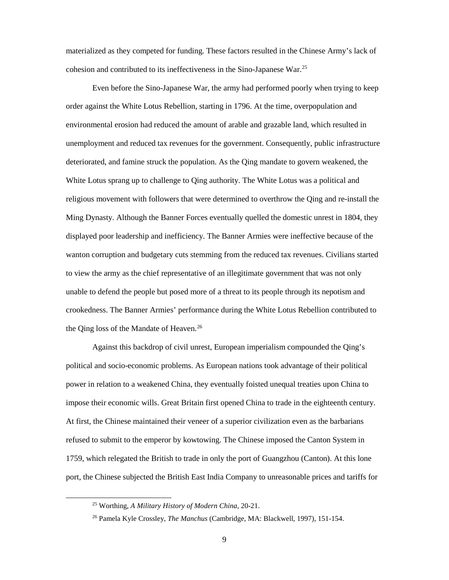materialized as they competed for funding. These factors resulted in the Chinese Army's lack of cohesion and contributed to its ineffectiveness in the Sino-Japanese War.[25](#page-16-0)

Even before the Sino-Japanese War, the army had performed poorly when trying to keep order against the White Lotus Rebellion, starting in 1796. At the time, overpopulation and environmental erosion had reduced the amount of arable and grazable land, which resulted in unemployment and reduced tax revenues for the government. Consequently, public infrastructure deteriorated, and famine struck the population. As the Qing mandate to govern weakened, the White Lotus sprang up to challenge to Qing authority. The White Lotus was a political and religious movement with followers that were determined to overthrow the Qing and re-install the Ming Dynasty. Although the Banner Forces eventually quelled the domestic unrest in 1804, they displayed poor leadership and inefficiency. The Banner Armies were ineffective because of the wanton corruption and budgetary cuts stemming from the reduced tax revenues. Civilians started to view the army as the chief representative of an illegitimate government that was not only unable to defend the people but posed more of a threat to its people through its nepotism and crookedness. The Banner Armies' performance during the White Lotus Rebellion contributed to the Qing loss of the Mandate of Heaven.<sup>[26](#page-16-1)</sup>

Against this backdrop of civil unrest, European imperialism compounded the Qing's political and socio-economic problems. As European nations took advantage of their political power in relation to a weakened China, they eventually foisted unequal treaties upon China to impose their economic wills. Great Britain first opened China to trade in the eighteenth century. At first, the Chinese maintained their veneer of a superior civilization even as the barbarians refused to submit to the emperor by kowtowing. The Chinese imposed the Canton System in 1759, which relegated the British to trade in only the port of Guangzhou (Canton). At this lone port, the Chinese subjected the British East India Company to unreasonable prices and tariffs for

<span id="page-16-0"></span> <sup>25</sup> Worthing, *A Military History of Modern China,* 20-21.

<span id="page-16-1"></span><sup>26</sup> Pamela Kyle Crossley, *The Manchus* (Cambridge, MA: Blackwell, 1997), 151-154.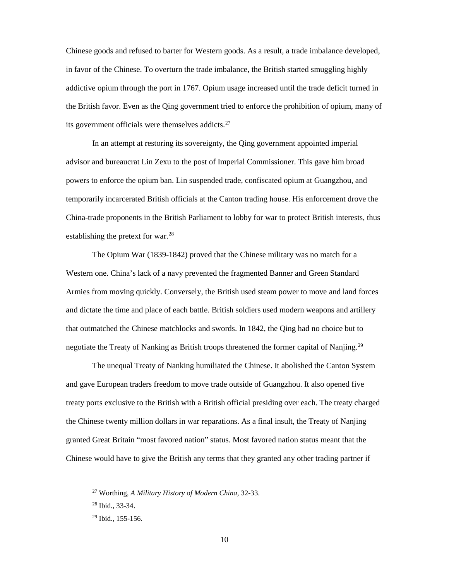Chinese goods and refused to barter for Western goods. As a result, a trade imbalance developed, in favor of the Chinese. To overturn the trade imbalance, the British started smuggling highly addictive opium through the port in 1767. Opium usage increased until the trade deficit turned in the British favor. Even as the Qing government tried to enforce the prohibition of opium, many of its government officials were themselves addicts.<sup>[27](#page-17-0)</sup>

In an attempt at restoring its sovereignty, the Qing government appointed imperial advisor and bureaucrat Lin Zexu to the post of Imperial Commissioner. This gave him broad powers to enforce the opium ban. Lin suspended trade, confiscated opium at Guangzhou, and temporarily incarcerated British officials at the Canton trading house. His enforcement drove the China-trade proponents in the British Parliament to lobby for war to protect British interests, thus establishing the pretext for war.<sup>[28](#page-17-1)</sup>

The Opium War (1839-1842) proved that the Chinese military was no match for a Western one. China's lack of a navy prevented the fragmented Banner and Green Standard Armies from moving quickly. Conversely, the British used steam power to move and land forces and dictate the time and place of each battle. British soldiers used modern weapons and artillery that outmatched the Chinese matchlocks and swords. In 1842, the Qing had no choice but to negotiate the Treaty of Nanking as British troops threatened the former capital of Nanjing.<sup>[29](#page-17-2)</sup>

The unequal Treaty of Nanking humiliated the Chinese. It abolished the Canton System and gave European traders freedom to move trade outside of Guangzhou. It also opened five treaty ports exclusive to the British with a British official presiding over each. The treaty charged the Chinese twenty million dollars in war reparations. As a final insult, the Treaty of Nanjing granted Great Britain "most favored nation" status. Most favored nation status meant that the Chinese would have to give the British any terms that they granted any other trading partner if

<span id="page-17-0"></span> <sup>27</sup> Worthing, *A Military History of Modern China,* 32-33.

<span id="page-17-1"></span><sup>28</sup> Ibid.*,* 33-34.

<span id="page-17-2"></span><sup>29</sup> Ibid.*,* 155-156.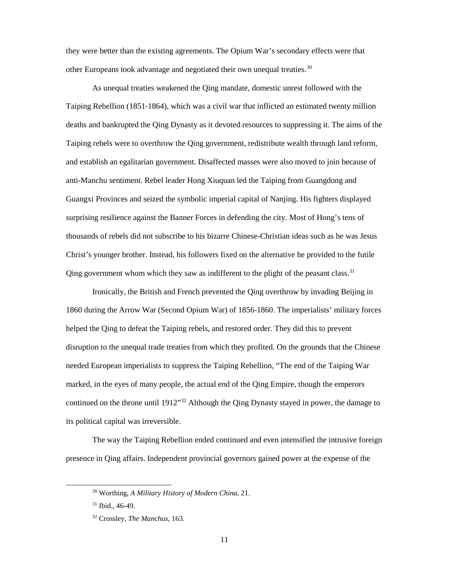they were better than the existing agreements. The Opium War's secondary effects were that other Europeans took advantage and negotiated their own unequal treaties.<sup>[30](#page-18-0)</sup>

As unequal treaties weakened the Qing mandate, domestic unrest followed with the Taiping Rebellion (1851-1864), which was a civil war that inflicted an estimated twenty million deaths and bankrupted the Qing Dynasty as it devoted resources to suppressing it. The aims of the Taiping rebels were to overthrow the Qing government, redistribute wealth through land reform, and establish an egalitarian government. Disaffected masses were also moved to join because of anti-Manchu sentiment. Rebel leader Hong Xiuquan led the Taiping from Guangdong and Guangxi Provinces and seized the symbolic imperial capital of Nanjing. His fighters displayed surprising resilience against the Banner Forces in defending the city. Most of Hong's tens of thousands of rebels did not subscribe to his bizarre Chinese-Christian ideas such as he was Jesus Christ's younger brother. Instead, his followers fixed on the alternative he provided to the futile Qing government whom which they saw as indifferent to the plight of the peasant class.<sup>[31](#page-18-1)</sup>

Ironically, the British and French prevented the Qing overthrow by invading Beijing in 1860 during the Arrow War (Second Opium War) of 1856-1860. The imperialists' military forces helped the Qing to defeat the Taiping rebels, and restored order. They did this to prevent disruption to the unequal trade treaties from which they profited. On the grounds that the Chinese needed European imperialists to suppress the Taiping Rebellion, "The end of the Taiping War marked, in the eyes of many people, the actual end of the Qing Empire, though the emperors continued on the throne until 1912"<sup>[32](#page-18-2)</sup> Although the Qing Dynasty stayed in power, the damage to its political capital was irreversible.

<span id="page-18-0"></span>The way the Taiping Rebellion ended continued and even intensified the intrusive foreign presence in Qing affairs. Independent provincial governors gained power at the expense of the

 <sup>30</sup> Worthing, *A Military History of Modern China,* 21.

<span id="page-18-1"></span><sup>31</sup> Ibid.*,* 46-49.

<span id="page-18-2"></span><sup>32</sup> Crossley, *The Manchus*, 163.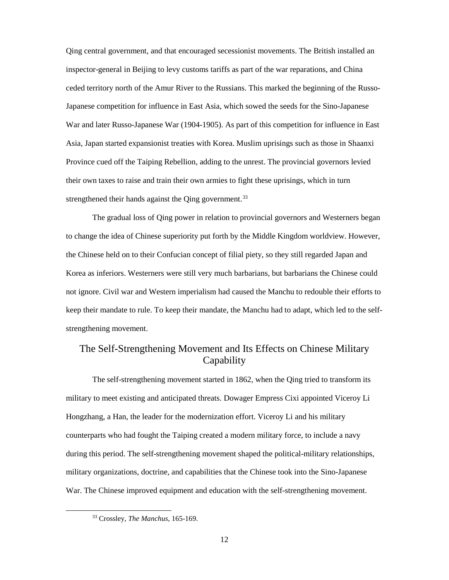Qing central government, and that encouraged secessionist movements. The British installed an inspector-general in Beijing to levy customs tariffs as part of the war reparations, and China ceded territory north of the Amur River to the Russians. This marked the beginning of the Russo-Japanese competition for influence in East Asia, which sowed the seeds for the Sino-Japanese War and later Russo-Japanese War (1904-1905). As part of this competition for influence in East Asia, Japan started expansionist treaties with Korea. Muslim uprisings such as those in Shaanxi Province cued off the Taiping Rebellion, adding to the unrest. The provincial governors levied their own taxes to raise and train their own armies to fight these uprisings, which in turn strengthened their hands against the Qing government.<sup>[33](#page-19-1)</sup>

The gradual loss of Qing power in relation to provincial governors and Westerners began to change the idea of Chinese superiority put forth by the Middle Kingdom worldview. However, the Chinese held on to their Confucian concept of filial piety, so they still regarded Japan and Korea as inferiors. Westerners were still very much barbarians, but barbarians the Chinese could not ignore. Civil war and Western imperialism had caused the Manchu to redouble their efforts to keep their mandate to rule. To keep their mandate, the Manchu had to adapt, which led to the selfstrengthening movement.

## <span id="page-19-0"></span>The Self-Strengthening Movement and Its Effects on Chinese Military **Capability**

The self-strengthening movement started in 1862, when the Qing tried to transform its military to meet existing and anticipated threats. Dowager Empress Cixi appointed Viceroy Li Hongzhang, a Han, the leader for the modernization effort. Viceroy Li and his military counterparts who had fought the Taiping created a modern military force, to include a navy during this period. The self-strengthening movement shaped the political-military relationships, military organizations, doctrine, and capabilities that the Chinese took into the Sino-Japanese War. The Chinese improved equipment and education with the self-strengthening movement.

<span id="page-19-1"></span> <sup>33</sup> Crossley, *The Manchus*, 165-169.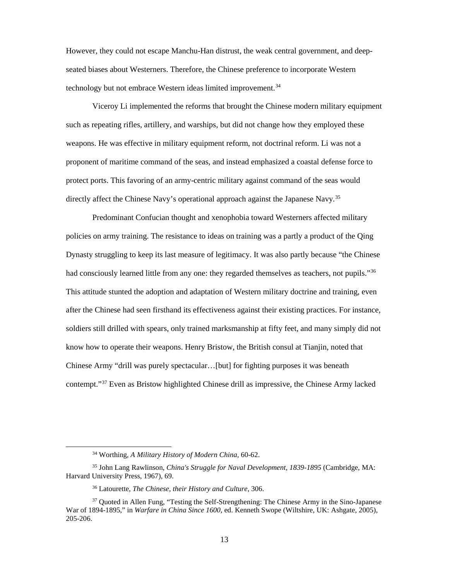However, they could not escape Manchu-Han distrust, the weak central government, and deepseated biases about Westerners. Therefore, the Chinese preference to incorporate Western technology but not embrace Western ideas limited improvement.<sup>[34](#page-20-0)</sup>

Viceroy Li implemented the reforms that brought the Chinese modern military equipment such as repeating rifles, artillery, and warships, but did not change how they employed these weapons. He was effective in military equipment reform, not doctrinal reform. Li was not a proponent of maritime command of the seas, and instead emphasized a coastal defense force to protect ports. This favoring of an army-centric military against command of the seas would directly affect the Chinese Navy's operational approach against the Japanese Navy.<sup>[35](#page-20-1)</sup>

Predominant Confucian thought and xenophobia toward Westerners affected military policies on army training. The resistance to ideas on training was a partly a product of the Qing Dynasty struggling to keep its last measure of legitimacy. It was also partly because "the Chinese had consciously learned little from any one: they regarded themselves as teachers, not pupils."<sup>[36](#page-20-2)</sup> This attitude stunted the adoption and adaptation of Western military doctrine and training, even after the Chinese had seen firsthand its effectiveness against their existing practices. For instance, soldiers still drilled with spears, only trained marksmanship at fifty feet, and many simply did not know how to operate their weapons. Henry Bristow, the British consul at Tianjin, noted that Chinese Army "drill was purely spectacular…[but] for fighting purposes it was beneath contempt."[37](#page-20-3) Even as Bristow highlighted Chinese drill as impressive, the Chinese Army lacked

 <sup>34</sup> Worthing, *A Military History of Modern China,* 60-62.

<span id="page-20-1"></span><span id="page-20-0"></span><sup>35</sup> John Lang Rawlinson, *China's Struggle for Naval Development, 1839-1895* (Cambridge, MA: Harvard University Press, 1967), 69.

<sup>36</sup> Latourette, *The Chinese, their History and Culture*, 306.

<span id="page-20-3"></span><span id="page-20-2"></span><sup>&</sup>lt;sup>37</sup> Quoted in Allen Fung, "Testing the Self-Strengthening: The Chinese Army in the Sino-Japanese War of 1894-1895," in *Warfare in China Since 1600,* ed. Kenneth Swope (Wiltshire, UK: Ashgate, 2005), 205-206.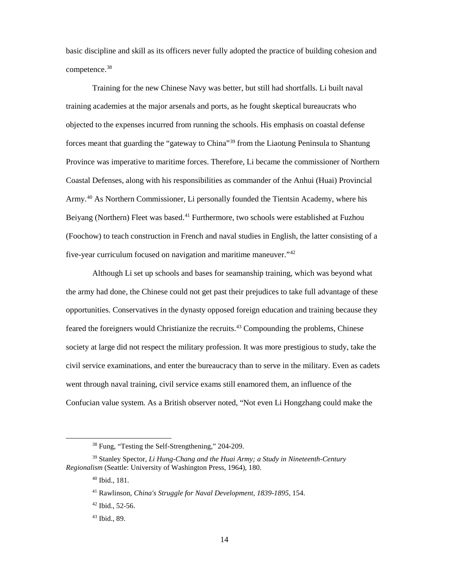basic discipline and skill as its officers never fully adopted the practice of building cohesion and competence. [38](#page-21-0)

Training for the new Chinese Navy was better, but still had shortfalls. Li built naval training academies at the major arsenals and ports, as he fought skeptical bureaucrats who objected to the expenses incurred from running the schools. His emphasis on coastal defense forces meant that guarding the "gateway to China"<sup>39</sup> from the Liaotung Peninsula to Shantung Province was imperative to maritime forces. Therefore, Li became the commissioner of Northern Coastal Defenses, along with his responsibilities as commander of the Anhui (Huai) Provincial Army. [40](#page-21-2) As Northern Commissioner, Li personally founded the Tientsin Academy, where his Beiyang (Northern) Fleet was based.<sup>[41](#page-21-3)</sup> Furthermore, two schools were established at Fuzhou (Foochow) to teach construction in French and naval studies in English, the latter consisting of a five-year curriculum focused on navigation and maritime maneuver."[42](#page-21-4)

Although Li set up schools and bases for seamanship training, which was beyond what the army had done, the Chinese could not get past their prejudices to take full advantage of these opportunities. Conservatives in the dynasty opposed foreign education and training because they feared the foreigners would Christianize the recruits.<sup>43</sup> Compounding the problems, Chinese society at large did not respect the military profession. It was more prestigious to study, take the civil service examinations, and enter the bureaucracy than to serve in the military. Even as cadets went through naval training, civil service exams still enamored them, an influence of the Confucian value system. As a British observer noted, "Not even Li Hongzhang could make the

 <sup>38</sup> Fung, "Testing the Self-Strengthening," 204-209.

<span id="page-21-5"></span><span id="page-21-4"></span><span id="page-21-3"></span><span id="page-21-2"></span><span id="page-21-1"></span><span id="page-21-0"></span><sup>39</sup> Stanley Spector, *Li Hung-Chang and the Huai Army; a Study in Nineteenth-Century Regionalism* (Seattle: University of Washington Press, 1964), 180.

<sup>40</sup> Ibid., 181.

<sup>41</sup> Rawlinson, *China's Struggle for Naval Development, 1839-1895*, 154.

 $42$  Ibid., 52-56.

<sup>43</sup> Ibid., 89.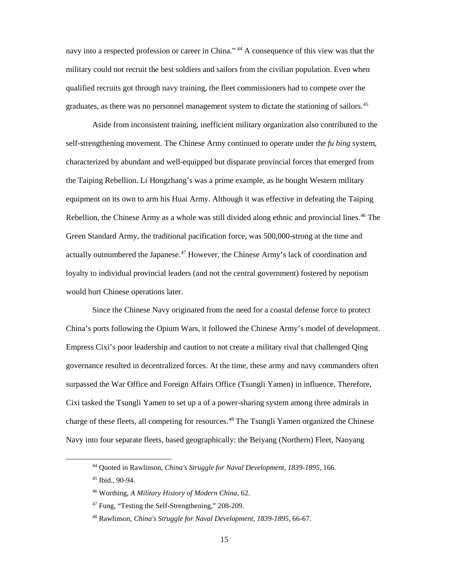navy into a respected profession or career in China." <sup>[44](#page-22-0)</sup> A consequence of this view was that the military could not recruit the best soldiers and sailors from the civilian population. Even when qualified recruits got through navy training, the fleet commissioners had to compete over the graduates, as there was no personnel management system to dictate the stationing of sailors.<sup>[45](#page-22-1)</sup>

Aside from inconsistent training, inefficient military organization also contributed to the self-strengthening movement. The Chinese Army continued to operate under the *fu bing* system, characterized by abundant and well-equipped but disparate provincial forces that emerged from the Taiping Rebellion. Li Hongzhang's was a prime example, as he bought Western military equipment on its own to arm his Huai Army. Although it was effective in defeating the Taiping Rebellion, the Chinese Army as a whole was still divided along ethnic and provincial lines.<sup>[46](#page-22-2)</sup> The Green Standard Army, the traditional pacification force, was 500,000-strong at the time and actually outnumbered the Japanese.<sup>[47](#page-22-3)</sup> However, the Chinese Army's lack of coordination and loyalty to individual provincial leaders (and not the central government) fostered by nepotism would hurt Chinese operations later.

Since the Chinese Navy originated from the need for a coastal defense force to protect China's ports following the Opium Wars, it followed the Chinese Army's model of development. Empress Cixi's poor leadership and caution to not create a military rival that challenged Qing governance resulted in decentralized forces. At the time, these army and navy commanders often surpassed the War Office and Foreign Affairs Office (Tsungli Yamen) in influence. Therefore, Cixi tasked the Tsungli Yamen to set up a of a power-sharing system among three admirals in charge of these fleets, all competing for resources. [48](#page-22-4) The Tsungli Yamen organized the Chinese Navy into four separate fleets, based geographically: the Beiyang (Northern) Fleet, Nanyang

<span id="page-22-0"></span> <sup>44</sup> Quoted in Rawlinson, *China's Struggle for Naval Development, 1839-1895*, 166.

<span id="page-22-1"></span><sup>45</sup> Ibid., 90-94.

<span id="page-22-2"></span><sup>46</sup> Worthing, *A Military History of Modern China,* 62.

<span id="page-22-3"></span><sup>47</sup> Fung, "Testing the Self-Strengthening," 208-209.

<span id="page-22-4"></span><sup>48</sup> Rawlinson, *China's Struggle for Naval Development, 1839-1895*, 66-67.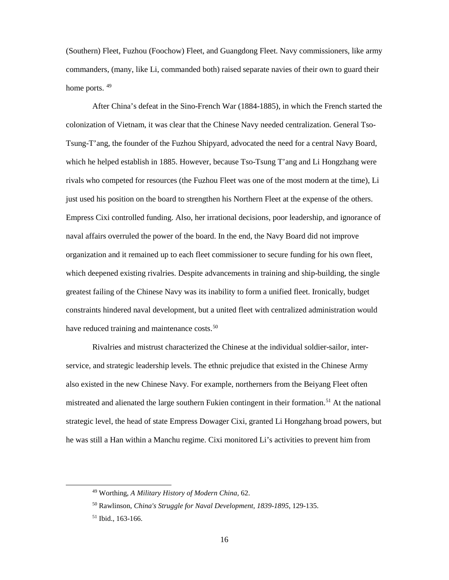(Southern) Fleet, Fuzhou (Foochow) Fleet, and Guangdong Fleet. Navy commissioners, like army commanders, (many, like Li, commanded both) raised separate navies of their own to guard their home ports.  $49$ 

After China's defeat in the Sino-French War (1884-1885), in which the French started the colonization of Vietnam, it was clear that the Chinese Navy needed centralization. General Tso-Tsung-T'ang, the founder of the Fuzhou Shipyard, advocated the need for a central Navy Board, which he helped establish in 1885. However, because Tso-Tsung T'ang and Li Hongzhang were rivals who competed for resources (the Fuzhou Fleet was one of the most modern at the time), Li just used his position on the board to strengthen his Northern Fleet at the expense of the others. Empress Cixi controlled funding. Also, her irrational decisions, poor leadership, and ignorance of naval affairs overruled the power of the board. In the end, the Navy Board did not improve organization and it remained up to each fleet commissioner to secure funding for his own fleet, which deepened existing rivalries. Despite advancements in training and ship-building, the single greatest failing of the Chinese Navy was its inability to form a unified fleet. Ironically, budget constraints hindered naval development, but a united fleet with centralized administration would have reduced training and maintenance costs.<sup>[50](#page-23-1)</sup>

Rivalries and mistrust characterized the Chinese at the individual soldier-sailor, interservice, and strategic leadership levels. The ethnic prejudice that existed in the Chinese Army also existed in the new Chinese Navy. For example, northerners from the Beiyang Fleet often mistreated and alienated the large southern Fukien contingent in their formation.<sup>51</sup> At the national strategic level, the head of state Empress Dowager Cixi, granted Li Hongzhang broad powers, but he was still a Han within a Manchu regime. Cixi monitored Li's activities to prevent him from

<span id="page-23-0"></span> <sup>49</sup> Worthing, *A Military History of Modern China,* 62.

<span id="page-23-1"></span><sup>50</sup> Rawlinson, *China's Struggle for Naval Development, 1839-1895*, 129-135.

<span id="page-23-2"></span><sup>51</sup> Ibid., 163-166.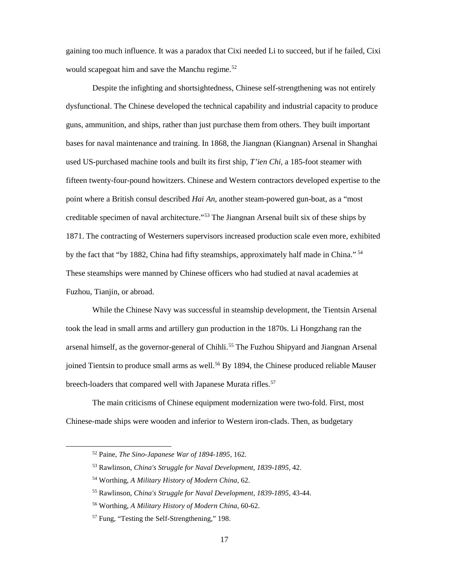gaining too much influence. It was a paradox that Cixi needed Li to succeed, but if he failed, Cixi would scapegoat him and save the Manchu regime.<sup>[52](#page-24-0)</sup>

Despite the infighting and shortsightedness, Chinese self-strengthening was not entirely dysfunctional. The Chinese developed the technical capability and industrial capacity to produce guns, ammunition, and ships, rather than just purchase them from others. They built important bases for naval maintenance and training. In 1868, the Jiangnan (Kiangnan) Arsenal in Shanghai used US-purchased machine tools and built its first ship, *T'ien Chi,* a 185-foot steamer with fifteen twenty-four-pound howitzers. Chinese and Western contractors developed expertise to the point where a British consul described *Hai An*, another steam-powered gun-boat, as a "most creditable specimen of naval architecture."<sup>53</sup> The Jiangnan Arsenal built six of these ships by 1871. The contracting of Westerners supervisors increased production scale even more, exhibited by the fact that "by 1882, China had fifty steamships, approximately half made in China." <sup>[54](#page-24-2)</sup> These steamships were manned by Chinese officers who had studied at naval academies at Fuzhou, Tianjin, or abroad.

While the Chinese Navy was successful in steamship development, the Tientsin Arsenal took the lead in small arms and artillery gun production in the 1870s. Li Hongzhang ran the arsenal himself, as the governor-general of Chihli.<sup>55</sup> The Fuzhou Shipyard and Jiangnan Arsenal joined Tientsin to produce small arms as well. [56](#page-24-4) By 1894, the Chinese produced reliable Mauser breech-loaders that compared well with Japanese Murata rifles.<sup>[57](#page-24-5)</sup>

<span id="page-24-0"></span>The main criticisms of Chinese equipment modernization were two-fold. First, most Chinese-made ships were wooden and inferior to Western iron-clads. Then, as budgetary

 <sup>52</sup> Paine, *The Sino-Japanese War of 1894-1895,* 162.

<span id="page-24-1"></span><sup>53</sup> Rawlinson, *China's Struggle for Naval Development, 1839-1895*, 42.

<span id="page-24-2"></span><sup>54</sup> Worthing, *A Military History of Modern China,* 62.

<span id="page-24-3"></span><sup>55</sup> Rawlinson, *China's Struggle for Naval Development, 1839-1895*, 43-44.

<span id="page-24-4"></span><sup>56</sup> Worthing, *A Military History of Modern China,* 60-62.

<span id="page-24-5"></span><sup>57</sup> Fung, "Testing the Self-Strengthening," 198.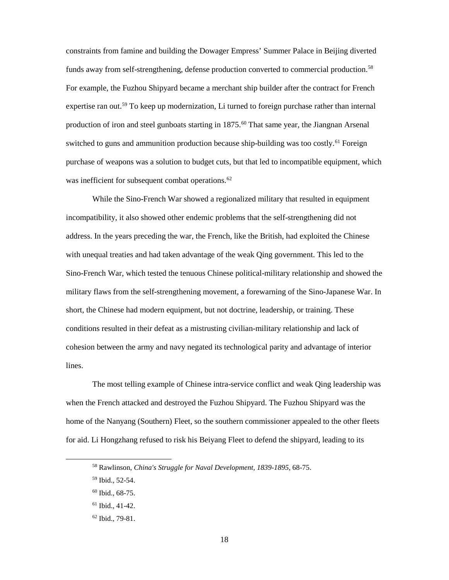constraints from famine and building the Dowager Empress' Summer Palace in Beijing diverted funds away from self-strengthening, defense production converted to commercial production.<sup>[58](#page-25-0)</sup> For example, the Fuzhou Shipyard became a merchant ship builder after the contract for French expertise ran out.<sup>59</sup> To keep up modernization, Li turned to foreign purchase rather than internal production of iron and steel gunboats starting in 1875.<sup>[60](#page-25-2)</sup> That same year, the Jiangnan Arsenal switched to guns and ammunition production because ship-building was too costly.<sup>61</sup> Foreign purchase of weapons was a solution to budget cuts, but that led to incompatible equipment, which was inefficient for subsequent combat operations.<sup>[62](#page-25-4)</sup>

While the Sino-French War showed a regionalized military that resulted in equipment incompatibility, it also showed other endemic problems that the self-strengthening did not address. In the years preceding the war, the French, like the British, had exploited the Chinese with unequal treaties and had taken advantage of the weak Qing government. This led to the Sino-French War, which tested the tenuous Chinese political-military relationship and showed the military flaws from the self-strengthening movement, a forewarning of the Sino-Japanese War. In short, the Chinese had modern equipment, but not doctrine, leadership, or training. These conditions resulted in their defeat as a mistrusting civilian-military relationship and lack of cohesion between the army and navy negated its technological parity and advantage of interior lines.

The most telling example of Chinese intra-service conflict and weak Qing leadership was when the French attacked and destroyed the Fuzhou Shipyard. The Fuzhou Shipyard was the home of the Nanyang (Southern) Fleet, so the southern commissioner appealed to the other fleets for aid. Li Hongzhang refused to risk his Beiyang Fleet to defend the shipyard, leading to its

<span id="page-25-0"></span> <sup>58</sup> Rawlinson, *China's Struggle for Naval Development, 1839-1895*, 68-75.

<span id="page-25-1"></span><sup>59</sup> Ibid., 52-54.

<span id="page-25-2"></span><sup>60</sup> Ibid., 68-75.

<span id="page-25-3"></span> $61$  Ibid., 41-42.

<span id="page-25-4"></span><sup>62</sup> Ibid., 79-81.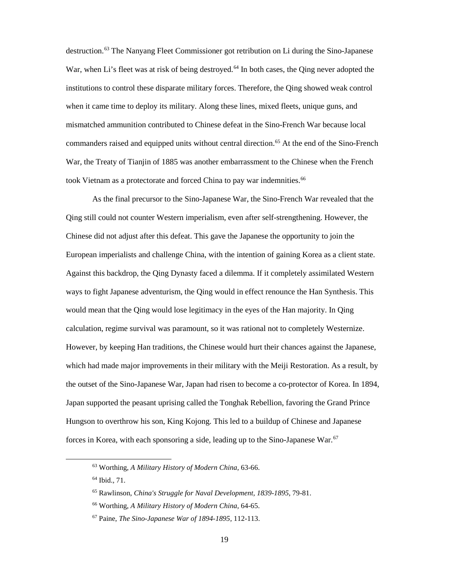destruction.<sup>[63](#page-26-0)</sup> The Nanyang Fleet Commissioner got retribution on Li during the Sino-Japanese War, when Li's fleet was at risk of being destroyed.<sup>64</sup> In both cases, the Qing never adopted the institutions to control these disparate military forces. Therefore, the Qing showed weak control when it came time to deploy its military. Along these lines, mixed fleets, unique guns, and mismatched ammunition contributed to Chinese defeat in the Sino-French War because local commanders raised and equipped units without central direction.<sup>[65](#page-26-2)</sup> At the end of the Sino-French War, the Treaty of Tianjin of 1885 was another embarrassment to the Chinese when the French took Vietnam as a protectorate and forced China to pay war indemnities.<sup>[66](#page-26-3)</sup>

As the final precursor to the Sino-Japanese War, the Sino-French War revealed that the Qing still could not counter Western imperialism, even after self-strengthening. However, the Chinese did not adjust after this defeat. This gave the Japanese the opportunity to join the European imperialists and challenge China, with the intention of gaining Korea as a client state. Against this backdrop, the Qing Dynasty faced a dilemma. If it completely assimilated Western ways to fight Japanese adventurism, the Qing would in effect renounce the Han Synthesis. This would mean that the Qing would lose legitimacy in the eyes of the Han majority. In Qing calculation, regime survival was paramount, so it was rational not to completely Westernize. However, by keeping Han traditions, the Chinese would hurt their chances against the Japanese, which had made major improvements in their military with the Meiji Restoration. As a result, by the outset of the Sino-Japanese War, Japan had risen to become a co-protector of Korea. In 1894, Japan supported the peasant uprising called the Tonghak Rebellion, favoring the Grand Prince Hungson to overthrow his son, King Kojong. This led to a buildup of Chinese and Japanese forces in Korea, with each sponsoring a side, leading up to the Sino-Japanese War.<sup>[67](#page-26-4)</sup>

<span id="page-26-0"></span> <sup>63</sup> Worthing, *A Military History of Modern China,* 63-66.

<span id="page-26-1"></span><sup>64</sup> Ibid.*,* 71.

<span id="page-26-2"></span><sup>65</sup> Rawlinson, *China's Struggle for Naval Development, 1839-1895*, 79-81.

<span id="page-26-3"></span><sup>66</sup> Worthing, *A Military History of Modern China,* 64-65.

<span id="page-26-4"></span><sup>67</sup> Paine, *The Sino-Japanese War of 1894-1895,* 112-113.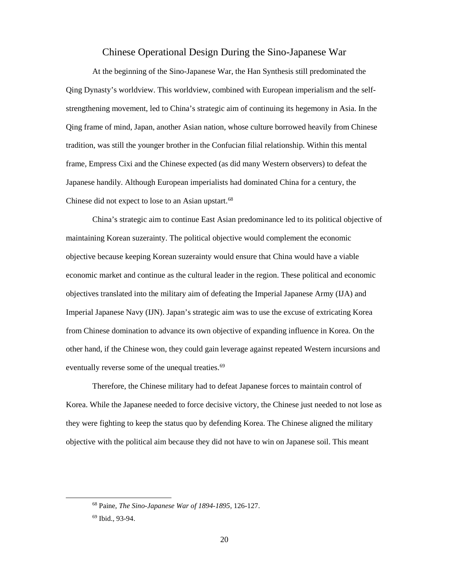#### Chinese Operational Design During the Sino-Japanese War

<span id="page-27-0"></span>At the beginning of the Sino-Japanese War, the Han Synthesis still predominated the Qing Dynasty's worldview. This worldview, combined with European imperialism and the selfstrengthening movement, led to China's strategic aim of continuing its hegemony in Asia. In the Qing frame of mind, Japan, another Asian nation, whose culture borrowed heavily from Chinese tradition, was still the younger brother in the Confucian filial relationship. Within this mental frame, Empress Cixi and the Chinese expected (as did many Western observers) to defeat the Japanese handily. Although European imperialists had dominated China for a century, the Chinese did not expect to lose to an Asian upstart.<sup>[68](#page-27-1)</sup>

China's strategic aim to continue East Asian predominance led to its political objective of maintaining Korean suzerainty. The political objective would complement the economic objective because keeping Korean suzerainty would ensure that China would have a viable economic market and continue as the cultural leader in the region. These political and economic objectives translated into the military aim of defeating the Imperial Japanese Army (IJA) and Imperial Japanese Navy (IJN). Japan's strategic aim was to use the excuse of extricating Korea from Chinese domination to advance its own objective of expanding influence in Korea. On the other hand, if the Chinese won, they could gain leverage against repeated Western incursions and eventually reverse some of the unequal treaties.<sup>[69](#page-27-2)</sup>

Therefore, the Chinese military had to defeat Japanese forces to maintain control of Korea. While the Japanese needed to force decisive victory, the Chinese just needed to not lose as they were fighting to keep the status quo by defending Korea. The Chinese aligned the military objective with the political aim because they did not have to win on Japanese soil. This meant

<span id="page-27-1"></span> <sup>68</sup> Paine, *The Sino-Japanese War of 1894-1895,* 126-127.

<span id="page-27-2"></span><sup>69</sup> Ibid.*,* 93-94.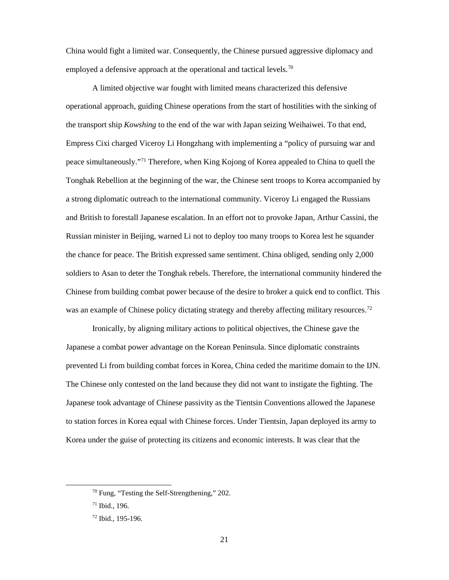China would fight a limited war. Consequently, the Chinese pursued aggressive diplomacy and employed a defensive approach at the operational and tactical levels.<sup>[70](#page-28-0)</sup>

A limited objective war fought with limited means characterized this defensive operational approach, guiding Chinese operations from the start of hostilities with the sinking of the transport ship *Kowshing* to the end of the war with Japan seizing Weihaiwei. To that end, Empress Cixi charged Viceroy Li Hongzhang with implementing a "policy of pursuing war and peace simultaneously.["71](#page-28-1) Therefore, when King Kojong of Korea appealed to China to quell the Tonghak Rebellion at the beginning of the war, the Chinese sent troops to Korea accompanied by a strong diplomatic outreach to the international community. Viceroy Li engaged the Russians and British to forestall Japanese escalation. In an effort not to provoke Japan, Arthur Cassini, the Russian minister in Beijing, warned Li not to deploy too many troops to Korea lest he squander the chance for peace. The British expressed same sentiment. China obliged, sending only 2,000 soldiers to Asan to deter the Tonghak rebels. Therefore, the international community hindered the Chinese from building combat power because of the desire to broker a quick end to conflict. This was an example of Chinese policy dictating strategy and thereby affecting military resources.<sup>[72](#page-28-2)</sup>

Ironically, by aligning military actions to political objectives, the Chinese gave the Japanese a combat power advantage on the Korean Peninsula. Since diplomatic constraints prevented Li from building combat forces in Korea, China ceded the maritime domain to the IJN. The Chinese only contested on the land because they did not want to instigate the fighting. The Japanese took advantage of Chinese passivity as the Tientsin Conventions allowed the Japanese to station forces in Korea equal with Chinese forces. Under Tientsin, Japan deployed its army to Korea under the guise of protecting its citizens and economic interests. It was clear that the

<span id="page-28-0"></span> <sup>70</sup> Fung, "Testing the Self-Strengthening," 202.

<span id="page-28-1"></span><sup>71</sup> Ibid., 196.

<span id="page-28-2"></span><sup>72</sup> Ibid., 195-196.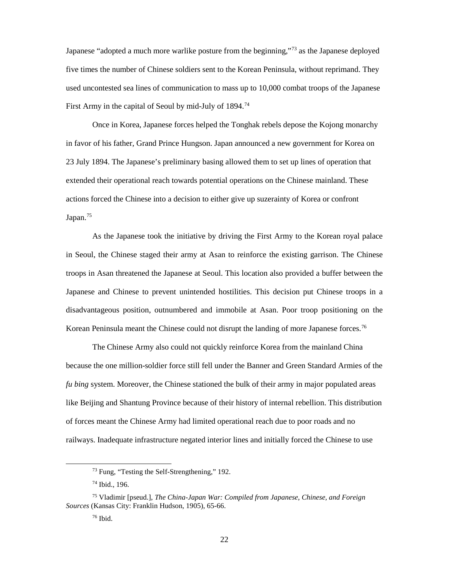Japanese "adopted a much more warlike posture from the beginning,"<sup>[73](#page-29-0)</sup> as the Japanese deployed five times the number of Chinese soldiers sent to the Korean Peninsula, without reprimand. They used uncontested sea lines of communication to mass up to 10,000 combat troops of the Japanese First Army in the capital of Seoul by mid-July of  $1894.<sup>74</sup>$  $1894.<sup>74</sup>$  $1894.<sup>74</sup>$ 

Once in Korea, Japanese forces helped the Tonghak rebels depose the Kojong monarchy in favor of his father, Grand Prince Hungson. Japan announced a new government for Korea on 23 July 1894. The Japanese's preliminary basing allowed them to set up lines of operation that extended their operational reach towards potential operations on the Chinese mainland. These actions forced the Chinese into a decision to either give up suzerainty of Korea or confront Japan.<sup>[75](#page-29-2)</sup>

As the Japanese took the initiative by driving the First Army to the Korean royal palace in Seoul, the Chinese staged their army at Asan to reinforce the existing garrison. The Chinese troops in Asan threatened the Japanese at Seoul. This location also provided a buffer between the Japanese and Chinese to prevent unintended hostilities. This decision put Chinese troops in a disadvantageous position, outnumbered and immobile at Asan. Poor troop positioning on the Korean Peninsula meant the Chinese could not disrupt the landing of more Japanese forces. [76](#page-29-3)

The Chinese Army also could not quickly reinforce Korea from the mainland China because the one million-soldier force still fell under the Banner and Green Standard Armies of the *fu bing* system. Moreover, the Chinese stationed the bulk of their army in major populated areas like Beijing and Shantung Province because of their history of internal rebellion. This distribution of forces meant the Chinese Army had limited operational reach due to poor roads and no railways. Inadequate infrastructure negated interior lines and initially forced the Chinese to use

 <sup>73</sup> Fung, "Testing the Self-Strengthening," 192.

<sup>74</sup> Ibid., 196.

<span id="page-29-3"></span><span id="page-29-2"></span><span id="page-29-1"></span><span id="page-29-0"></span><sup>75</sup> Vladimir [pseud.], *The China-Japan War: Compiled from Japanese, Chinese, and Foreign Sources* (Kansas City: Franklin Hudson, 1905), 65-66.

<sup>76</sup> Ibid.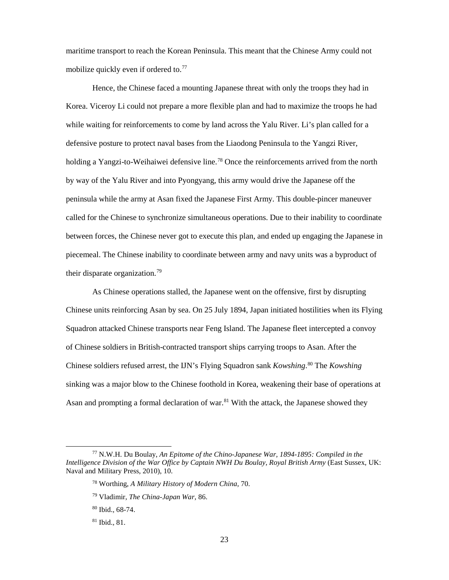maritime transport to reach the Korean Peninsula. This meant that the Chinese Army could not mobilize quickly even if ordered to.<sup>[77](#page-30-0)</sup>

Hence, the Chinese faced a mounting Japanese threat with only the troops they had in Korea. Viceroy Li could not prepare a more flexible plan and had to maximize the troops he had while waiting for reinforcements to come by land across the Yalu River. Li's plan called for a defensive posture to protect naval bases from the Liaodong Peninsula to the Yangzi River, holding a Yangzi-to-Weihaiwei defensive line.<sup>[78](#page-30-1)</sup> Once the reinforcements arrived from the north by way of the Yalu River and into Pyongyang, this army would drive the Japanese off the peninsula while the army at Asan fixed the Japanese First Army. This double-pincer maneuver called for the Chinese to synchronize simultaneous operations. Due to their inability to coordinate between forces, the Chinese never got to execute this plan, and ended up engaging the Japanese in piecemeal. The Chinese inability to coordinate between army and navy units was a byproduct of their disparate organization.[79](#page-30-2)

As Chinese operations stalled, the Japanese went on the offensive, first by disrupting Chinese units reinforcing Asan by sea. On 25 July 1894, Japan initiated hostilities when its Flying Squadron attacked Chinese transports near Feng Island. The Japanese fleet intercepted a convoy of Chinese soldiers in British-contracted transport ships carrying troops to Asan. After the Chinese soldiers refused arrest, the IJN's Flying Squadron sank *Kowshing*. [80](#page-30-3) The *Kowshing* sinking was a major blow to the Chinese foothold in Korea, weakening their base of operations at Asan and prompting a formal declaration of war.<sup>[81](#page-30-4)</sup> With the attack, the Japanese showed they

<span id="page-30-3"></span><span id="page-30-2"></span><span id="page-30-1"></span><span id="page-30-0"></span> <sup>77</sup> N.W.H. Du Boulay, *An Epitome of the Chino-Japanese War, 1894-1895: Compiled in the Intelligence Division of the War Office by Captain NWH Du Boulay, Royal British Army* (East Sussex, UK: Naval and Military Press, 2010), 10.

<sup>78</sup> Worthing, *A Military History of Modern China,* 70.

<sup>79</sup> Vladimir, *The China-Japan War,* 86.

<sup>80</sup> Ibid.*,* 68-74.

<span id="page-30-4"></span><sup>81</sup> Ibid.*,* 81.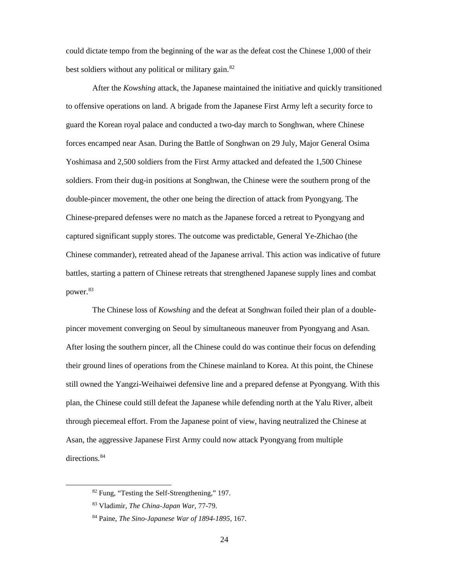could dictate tempo from the beginning of the war as the defeat cost the Chinese 1,000 of their best soldiers without any political or military gain.<sup>[82](#page-31-0)</sup>

After the *Kowshing* attack, the Japanese maintained the initiative and quickly transitioned to offensive operations on land. A brigade from the Japanese First Army left a security force to guard the Korean royal palace and conducted a two-day march to Songhwan, where Chinese forces encamped near Asan. During the Battle of Songhwan on 29 July, Major General Osima Yoshimasa and 2,500 soldiers from the First Army attacked and defeated the 1,500 Chinese soldiers. From their dug-in positions at Songhwan, the Chinese were the southern prong of the double-pincer movement, the other one being the direction of attack from Pyongyang. The Chinese-prepared defenses were no match as the Japanese forced a retreat to Pyongyang and captured significant supply stores. The outcome was predictable, General Ye-Zhichao (the Chinese commander), retreated ahead of the Japanese arrival. This action was indicative of future battles, starting a pattern of Chinese retreats that strengthened Japanese supply lines and combat power.<sup>[83](#page-31-1)</sup>

The Chinese loss of *Kowshing* and the defeat at Songhwan foiled their plan of a doublepincer movement converging on Seoul by simultaneous maneuver from Pyongyang and Asan. After losing the southern pincer, all the Chinese could do was continue their focus on defending their ground lines of operations from the Chinese mainland to Korea. At this point, the Chinese still owned the Yangzi-Weihaiwei defensive line and a prepared defense at Pyongyang. With this plan, the Chinese could still defeat the Japanese while defending north at the Yalu River, albeit through piecemeal effort. From the Japanese point of view, having neutralized the Chinese at Asan, the aggressive Japanese First Army could now attack Pyongyang from multiple directions.<sup>[84](#page-31-2)</sup>

<span id="page-31-0"></span> <sup>82</sup> Fung, "Testing the Self-Strengthening," 197.

<span id="page-31-1"></span><sup>83</sup> Vladimir, *The China-Japan War,* 77-79.

<span id="page-31-2"></span><sup>84</sup> Paine, *The Sino-Japanese War of 1894-1895,* 167.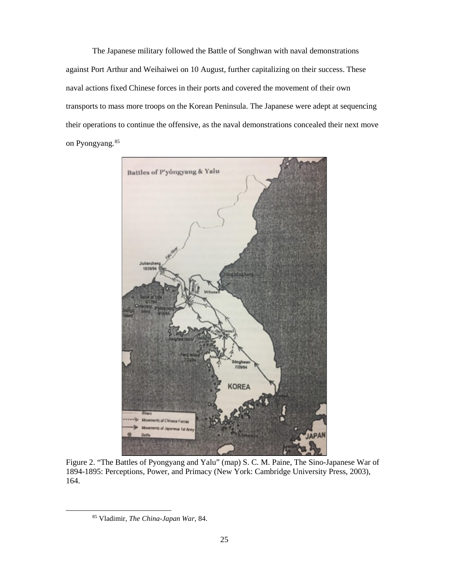The Japanese military followed the Battle of Songhwan with naval demonstrations against Port Arthur and Weihaiwei on 10 August, further capitalizing on their success. These naval actions fixed Chinese forces in their ports and covered the movement of their own transports to mass more troops on the Korean Peninsula. The Japanese were adept at sequencing their operations to continue the offensive, as the naval demonstrations concealed their next move on Pyongyang.<sup>[85](#page-32-1)</sup>



<span id="page-32-1"></span><span id="page-32-0"></span>Figure 2. "The Battles of Pyongyang and Yalu" (map) S. C. M. Paine, The Sino-Japanese War of 1894-1895: Perceptions, Power, and Primacy (New York: Cambridge University Press, 2003), 164.

 <sup>85</sup> Vladimir, *The China-Japan War,* 84.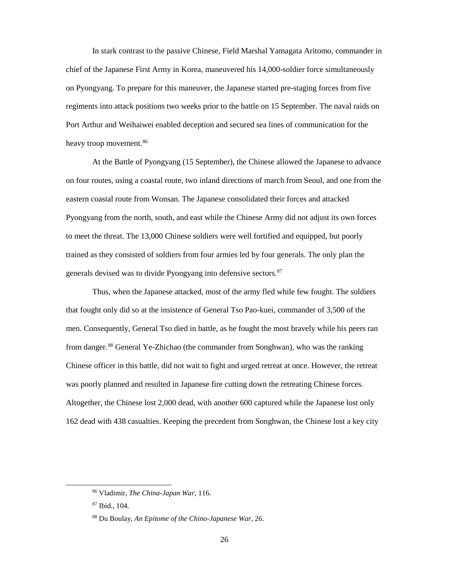In stark contrast to the passive Chinese, Field Marshal Yamagata Aritomo, commander in chief of the Japanese First Army in Korea, maneuvered his 14,000-soldier force simultaneously on Pyongyang. To prepare for this maneuver, the Japanese started pre-staging forces from five regiments into attack positions two weeks prior to the battle on 15 September. The naval raids on Port Arthur and Weihaiwei enabled deception and secured sea lines of communication for the heavy troop movement.<sup>[86](#page-33-0)</sup>

At the Battle of Pyongyang (15 September), the Chinese allowed the Japanese to advance on four routes, using a coastal route, two inland directions of march from Seoul, and one from the eastern coastal route from Wonsan. The Japanese consolidated their forces and attacked Pyongyang from the north, south, and east while the Chinese Army did not adjust its own forces to meet the threat. The 13,000 Chinese soldiers were well fortified and equipped, but poorly trained as they consisted of soldiers from four armies led by four generals. The only plan the generals devised was to divide Pyongyang into defensive sectors.<sup>[87](#page-33-1)</sup>

Thus, when the Japanese attacked, most of the army fled while few fought. The soldiers that fought only did so at the insistence of General Tso Pao-kuei, commander of 3,500 of the men. Consequently, General Tso died in battle, as he fought the most bravely while his peers ran from danger.[88](#page-33-2) General Ye-Zhichao (the commander from Songhwan), who was the ranking Chinese officer in this battle, did not wait to fight and urged retreat at once. However, the retreat was poorly planned and resulted in Japanese fire cutting down the retreating Chinese forces. Altogether, the Chinese lost 2,000 dead, with another 600 captured while the Japanese lost only 162 dead with 438 casualties. Keeping the precedent from Songhwan, the Chinese lost a key city

<span id="page-33-0"></span> <sup>86</sup> Vladimir, *The China-Japan War,* 116.

<span id="page-33-1"></span><sup>87</sup> Ibid.*,* 104.

<span id="page-33-2"></span><sup>88</sup> Du Boulay, *An Epitome of the Chino-Japanese War,* 26.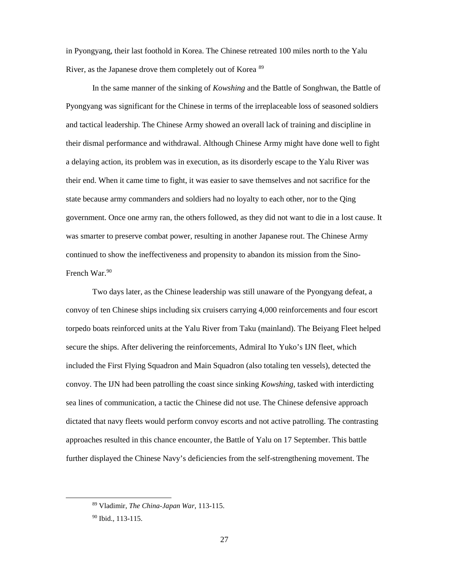in Pyongyang, their last foothold in Korea. The Chinese retreated 100 miles north to the Yalu River, as the Japanese drove them completely out of Korea [89](#page-34-0)

In the same manner of the sinking of *Kowshing* and the Battle of Songhwan, the Battle of Pyongyang was significant for the Chinese in terms of the irreplaceable loss of seasoned soldiers and tactical leadership. The Chinese Army showed an overall lack of training and discipline in their dismal performance and withdrawal. Although Chinese Army might have done well to fight a delaying action, its problem was in execution, as its disorderly escape to the Yalu River was their end. When it came time to fight, it was easier to save themselves and not sacrifice for the state because army commanders and soldiers had no loyalty to each other, nor to the Qing government. Once one army ran, the others followed, as they did not want to die in a lost cause. It was smarter to preserve combat power, resulting in another Japanese rout. The Chinese Army continued to show the ineffectiveness and propensity to abandon its mission from the Sino-French War.<sup>90</sup>

Two days later, as the Chinese leadership was still unaware of the Pyongyang defeat, a convoy of ten Chinese ships including six cruisers carrying 4,000 reinforcements and four escort torpedo boats reinforced units at the Yalu River from Taku (mainland). The Beiyang Fleet helped secure the ships. After delivering the reinforcements, Admiral Ito Yuko's IJN fleet, which included the First Flying Squadron and Main Squadron (also totaling ten vessels), detected the convoy. The IJN had been patrolling the coast since sinking *Kowshing,* tasked with interdicting sea lines of communication, a tactic the Chinese did not use. The Chinese defensive approach dictated that navy fleets would perform convoy escorts and not active patrolling. The contrasting approaches resulted in this chance encounter, the Battle of Yalu on 17 September. This battle further displayed the Chinese Navy's deficiencies from the self-strengthening movement. The

<span id="page-34-0"></span> <sup>89</sup> Vladimir, *The China-Japan War,* 113-115.

<span id="page-34-1"></span><sup>90</sup> Ibid.*,* 113-115.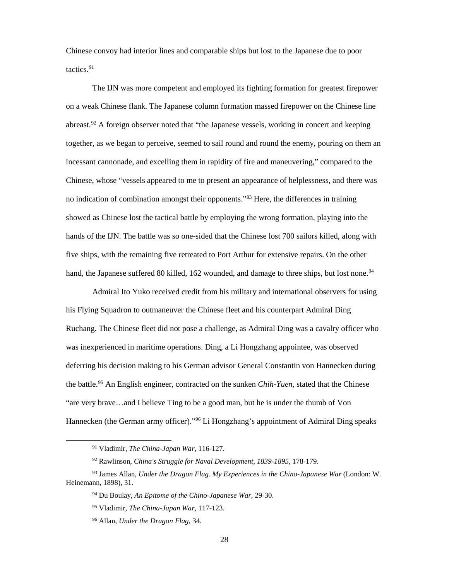Chinese convoy had interior lines and comparable ships but lost to the Japanese due to poor tactics.[91](#page-35-0)

The IJN was more competent and employed its fighting formation for greatest firepower on a weak Chinese flank. The Japanese column formation massed firepower on the Chinese line abreast.<sup>[92](#page-35-1)</sup> A foreign observer noted that "the Japanese vessels, working in concert and keeping together, as we began to perceive, seemed to sail round and round the enemy, pouring on them an incessant cannonade, and excelling them in rapidity of fire and maneuvering," compared to the Chinese, whose "vessels appeared to me to present an appearance of helplessness, and there was no indication of combination amongst their opponents."<sup>[93](#page-35-2)</sup> Here, the differences in training showed as Chinese lost the tactical battle by employing the wrong formation, playing into the hands of the IJN. The battle was so one-sided that the Chinese lost 700 sailors killed, along with five ships, with the remaining five retreated to Port Arthur for extensive repairs. On the other hand, the Japanese suffered 80 killed, 162 wounded, and damage to three ships, but lost none.<sup>[94](#page-35-3)</sup>

Admiral Ito Yuko received credit from his military and international observers for using his Flying Squadron to outmaneuver the Chinese fleet and his counterpart Admiral Ding Ruchang. The Chinese fleet did not pose a challenge, as Admiral Ding was a cavalry officer who was inexperienced in maritime operations. Ding, a Li Hongzhang appointee, was observed deferring his decision making to his German advisor General Constantin von Hannecken during the battle. [95](#page-35-4) An English engineer, contracted on the sunken *Chih-Yuen,* stated that the Chinese "are very brave…and I believe Ting to be a good man, but he is under the thumb of Von Hannecken (the German army officer)."[96](#page-35-5) Li Hongzhang's appointment of Admiral Ding speaks

 <sup>91</sup> Vladimir, *The China-Japan War,* 116-127.

<sup>92</sup> Rawlinson, *China's Struggle for Naval Development, 1839-1895*, 178-179.

<span id="page-35-5"></span><span id="page-35-4"></span><span id="page-35-3"></span><span id="page-35-2"></span><span id="page-35-1"></span><span id="page-35-0"></span><sup>93</sup> James Allan, *Under the Dragon Flag. My Experiences in the Chino-Japanese War* (London: W. Heinemann, 1898), 31.

<sup>94</sup> Du Boulay, *An Epitome of the Chino-Japanese War,* 29-30.

<sup>95</sup> Vladimir, *The China-Japan War,* 117-123.

<sup>96</sup> Allan, *Under the Dragon Flag,* 34.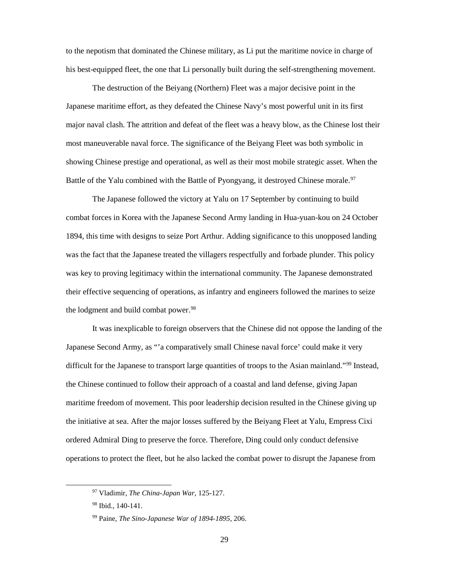to the nepotism that dominated the Chinese military, as Li put the maritime novice in charge of his best-equipped fleet, the one that Li personally built during the self-strengthening movement.

The destruction of the Beiyang (Northern) Fleet was a major decisive point in the Japanese maritime effort, as they defeated the Chinese Navy's most powerful unit in its first major naval clash. The attrition and defeat of the fleet was a heavy blow, as the Chinese lost their most maneuverable naval force. The significance of the Beiyang Fleet was both symbolic in showing Chinese prestige and operational, as well as their most mobile strategic asset. When the Battle of the Yalu combined with the Battle of Pyongyang, it destroyed Chinese morale.<sup>[97](#page-36-0)</sup>

The Japanese followed the victory at Yalu on 17 September by continuing to build combat forces in Korea with the Japanese Second Army landing in Hua-yuan-kou on 24 October 1894, this time with designs to seize Port Arthur. Adding significance to this unopposed landing was the fact that the Japanese treated the villagers respectfully and forbade plunder. This policy was key to proving legitimacy within the international community. The Japanese demonstrated their effective sequencing of operations, as infantry and engineers followed the marines to seize the lodgment and build combat power.<sup>[98](#page-36-1)</sup>

It was inexplicable to foreign observers that the Chinese did not oppose the landing of the Japanese Second Army, as "'a comparatively small Chinese naval force' could make it very difficult for the Japanese to transport large quantities of troops to the Asian mainland."<sup>[99](#page-36-2)</sup> Instead, the Chinese continued to follow their approach of a coastal and land defense, giving Japan maritime freedom of movement. This poor leadership decision resulted in the Chinese giving up the initiative at sea. After the major losses suffered by the Beiyang Fleet at Yalu, Empress Cixi ordered Admiral Ding to preserve the force. Therefore, Ding could only conduct defensive operations to protect the fleet, but he also lacked the combat power to disrupt the Japanese from

<span id="page-36-0"></span> <sup>97</sup> Vladimir, *The China-Japan War,* 125-127.

<span id="page-36-1"></span><sup>98</sup> Ibid.*,* 140-141.

<span id="page-36-2"></span><sup>99</sup> Paine, *The Sino-Japanese War of 1894-1895,* 206.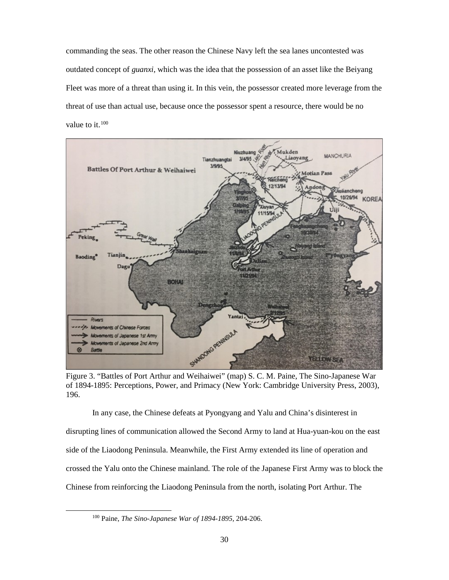commanding the seas. The other reason the Chinese Navy left the sea lanes uncontested was outdated concept of *guanxi*, which was the idea that the possession of an asset like the Beiyang Fleet was more of a threat than using it. In this vein, the possessor created more leverage from the threat of use than actual use, because once the possessor spent a resource, there would be no value to it.<sup>[100](#page-37-1)</sup>



<span id="page-37-0"></span>Figure 3. "Battles of Port Arthur and Weihaiwei" (map) S. C. M. Paine, The Sino-Japanese War of 1894-1895: Perceptions, Power, and Primacy (New York: Cambridge University Press, 2003), 196.

In any case, the Chinese defeats at Pyongyang and Yalu and China's disinterest in disrupting lines of communication allowed the Second Army to land at Hua-yuan-kou on the east side of the Liaodong Peninsula. Meanwhile, the First Army extended its line of operation and crossed the Yalu onto the Chinese mainland. The role of the Japanese First Army was to block the Chinese from reinforcing the Liaodong Peninsula from the north, isolating Port Arthur. The

<span id="page-37-1"></span> <sup>100</sup> Paine, *The Sino-Japanese War of 1894-1895,* 204-206.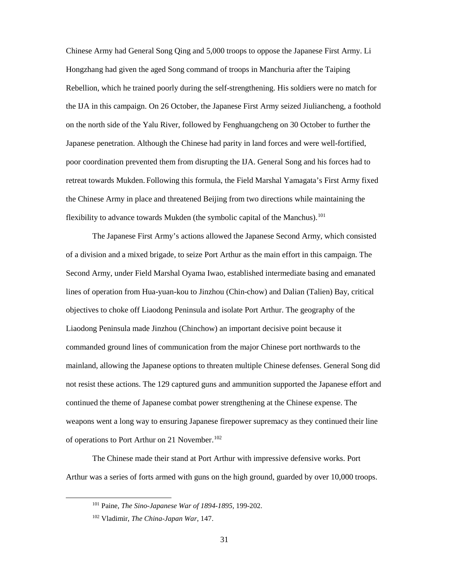Chinese Army had General Song Qing and 5,000 troops to oppose the Japanese First Army. Li Hongzhang had given the aged Song command of troops in Manchuria after the Taiping Rebellion, which he trained poorly during the self-strengthening. His soldiers were no match for the IJA in this campaign. On 26 October, the Japanese First Army seized Jiuliancheng, a foothold on the north side of the Yalu River, followed by Fenghuangcheng on 30 October to further the Japanese penetration. Although the Chinese had parity in land forces and were well-fortified, poor coordination prevented them from disrupting the IJA. General Song and his forces had to retreat towards Mukden. Following this formula, the Field Marshal Yamagata's First Army fixed the Chinese Army in place and threatened Beijing from two directions while maintaining the flexibility to advance towards Mukden (the symbolic capital of the Manchus).<sup>[101](#page-38-0)</sup>

The Japanese First Army's actions allowed the Japanese Second Army, which consisted of a division and a mixed brigade, to seize Port Arthur as the main effort in this campaign. The Second Army, under Field Marshal Oyama Iwao, established intermediate basing and emanated lines of operation from Hua-yuan-kou to Jinzhou (Chin-chow) and Dalian (Talien) Bay, critical objectives to choke off Liaodong Peninsula and isolate Port Arthur. The geography of the Liaodong Peninsula made Jinzhou (Chinchow) an important decisive point because it commanded ground lines of communication from the major Chinese port northwards to the mainland, allowing the Japanese options to threaten multiple Chinese defenses. General Song did not resist these actions. The 129 captured guns and ammunition supported the Japanese effort and continued the theme of Japanese combat power strengthening at the Chinese expense. The weapons went a long way to ensuring Japanese firepower supremacy as they continued their line of operations to Port Arthur on 21 November.<sup>[102](#page-38-1)</sup>

<span id="page-38-1"></span><span id="page-38-0"></span>The Chinese made their stand at Port Arthur with impressive defensive works. Port Arthur was a series of forts armed with guns on the high ground, guarded by over 10,000 troops.

 <sup>101</sup> Paine, *The Sino-Japanese War of 1894-1895,* 199-202.

<sup>102</sup> Vladimir, *The China-Japan War,* 147.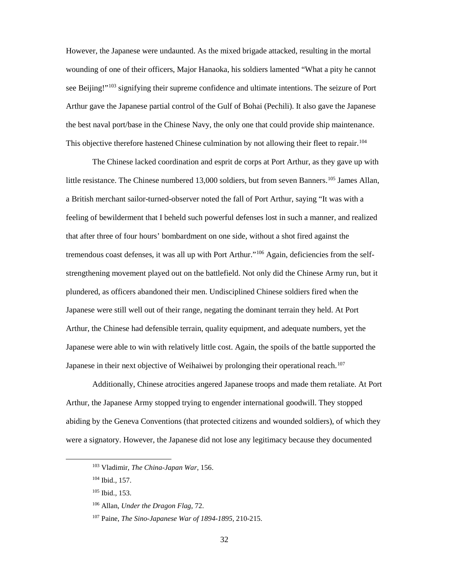However, the Japanese were undaunted. As the mixed brigade attacked, resulting in the mortal wounding of one of their officers, Major Hanaoka, his soldiers lamented "What a pity he cannot see Beijing!"<sup>103</sup> signifying their supreme confidence and ultimate intentions. The seizure of Port Arthur gave the Japanese partial control of the Gulf of Bohai (Pechili). It also gave the Japanese the best naval port/base in the Chinese Navy, the only one that could provide ship maintenance. This objective therefore hastened Chinese culmination by not allowing their fleet to repair.<sup>[104](#page-39-1)</sup>

The Chinese lacked coordination and esprit de corps at Port Arthur, as they gave up with little resistance. The Chinese numbered 13,000 soldiers, but from seven Banners.<sup>[105](#page-39-2)</sup> James Allan, a British merchant sailor-turned-observer noted the fall of Port Arthur, saying "It was with a feeling of bewilderment that I beheld such powerful defenses lost in such a manner, and realized that after three of four hours' bombardment on one side, without a shot fired against the tremendous coast defenses, it was all up with Port Arthur."<sup>[106](#page-39-3)</sup> Again, deficiencies from the selfstrengthening movement played out on the battlefield. Not only did the Chinese Army run, but it plundered, as officers abandoned their men. Undisciplined Chinese soldiers fired when the Japanese were still well out of their range, negating the dominant terrain they held. At Port Arthur, the Chinese had defensible terrain, quality equipment, and adequate numbers, yet the Japanese were able to win with relatively little cost. Again, the spoils of the battle supported the Japanese in their next objective of Weihaiwei by prolonging their operational reach.<sup>[107](#page-39-4)</sup>

Additionally, Chinese atrocities angered Japanese troops and made them retaliate. At Port Arthur, the Japanese Army stopped trying to engender international goodwill. They stopped abiding by the Geneva Conventions (that protected citizens and wounded soldiers), of which they were a signatory. However, the Japanese did not lose any legitimacy because they documented

<span id="page-39-0"></span> <sup>103</sup> Vladimir, *The China-Japan War,* 156.

<span id="page-39-1"></span><sup>104</sup> Ibid.*,* 157.

<span id="page-39-2"></span><sup>105</sup> Ibid.*,* 153.

<span id="page-39-3"></span><sup>106</sup> Allan, *Under the Dragon Flag,* 72.

<span id="page-39-4"></span><sup>107</sup> Paine, *The Sino-Japanese War of 1894-1895,* 210-215.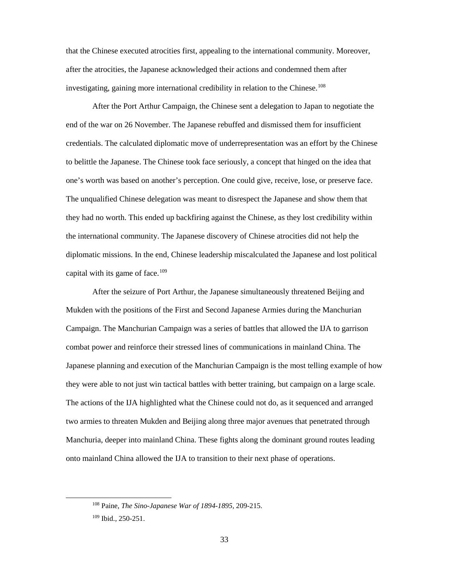that the Chinese executed atrocities first, appealing to the international community. Moreover, after the atrocities, the Japanese acknowledged their actions and condemned them after investigating, gaining more international credibility in relation to the Chinese.<sup>[108](#page-40-0)</sup>

After the Port Arthur Campaign, the Chinese sent a delegation to Japan to negotiate the end of the war on 26 November. The Japanese rebuffed and dismissed them for insufficient credentials. The calculated diplomatic move of underrepresentation was an effort by the Chinese to belittle the Japanese. The Chinese took face seriously, a concept that hinged on the idea that one's worth was based on another's perception. One could give, receive, lose, or preserve face. The unqualified Chinese delegation was meant to disrespect the Japanese and show them that they had no worth. This ended up backfiring against the Chinese, as they lost credibility within the international community. The Japanese discovery of Chinese atrocities did not help the diplomatic missions. In the end, Chinese leadership miscalculated the Japanese and lost political capital with its game of face.<sup>[109](#page-40-1)</sup>

After the seizure of Port Arthur, the Japanese simultaneously threatened Beijing and Mukden with the positions of the First and Second Japanese Armies during the Manchurian Campaign. The Manchurian Campaign was a series of battles that allowed the IJA to garrison combat power and reinforce their stressed lines of communications in mainland China. The Japanese planning and execution of the Manchurian Campaign is the most telling example of how they were able to not just win tactical battles with better training, but campaign on a large scale. The actions of the IJA highlighted what the Chinese could not do, as it sequenced and arranged two armies to threaten Mukden and Beijing along three major avenues that penetrated through Manchuria, deeper into mainland China. These fights along the dominant ground routes leading onto mainland China allowed the IJA to transition to their next phase of operations.

<span id="page-40-0"></span> <sup>108</sup> Paine, *The Sino-Japanese War of 1894-1895,* 209-215.

<span id="page-40-1"></span><sup>109</sup> Ibid.*,* 250-251.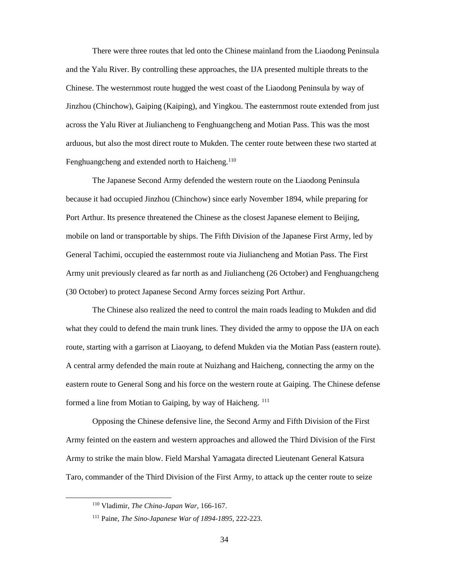There were three routes that led onto the Chinese mainland from the Liaodong Peninsula and the Yalu River. By controlling these approaches, the IJA presented multiple threats to the Chinese. The westernmost route hugged the west coast of the Liaodong Peninsula by way of Jinzhou (Chinchow), Gaiping (Kaiping), and Yingkou. The easternmost route extended from just across the Yalu River at Jiuliancheng to Fenghuangcheng and Motian Pass. This was the most arduous, but also the most direct route to Mukden. The center route between these two started at Fenghuangcheng and extended north to Haicheng.<sup>[110](#page-41-0)</sup>

The Japanese Second Army defended the western route on the Liaodong Peninsula because it had occupied Jinzhou (Chinchow) since early November 1894, while preparing for Port Arthur. Its presence threatened the Chinese as the closest Japanese element to Beijing, mobile on land or transportable by ships. The Fifth Division of the Japanese First Army, led by General Tachimi, occupied the easternmost route via Jiuliancheng and Motian Pass. The First Army unit previously cleared as far north as and Jiuliancheng (26 October) and Fenghuangcheng (30 October) to protect Japanese Second Army forces seizing Port Arthur.

The Chinese also realized the need to control the main roads leading to Mukden and did what they could to defend the main trunk lines. They divided the army to oppose the IJA on each route, starting with a garrison at Liaoyang, to defend Mukden via the Motian Pass (eastern route). A central army defended the main route at Nuizhang and Haicheng, connecting the army on the eastern route to General Song and his force on the western route at Gaiping. The Chinese defense formed a line from Motian to Gaiping, by way of Haicheng. <sup>[111](#page-41-1)</sup>

Opposing the Chinese defensive line, the Second Army and Fifth Division of the First Army feinted on the eastern and western approaches and allowed the Third Division of the First Army to strike the main blow. Field Marshal Yamagata directed Lieutenant General Katsura Taro, commander of the Third Division of the First Army, to attack up the center route to seize

<span id="page-41-1"></span><span id="page-41-0"></span> <sup>110</sup> Vladimir, *The China-Japan War,* 166-167.

<sup>111</sup> Paine, *The Sino-Japanese War of 1894-1895,* 222-223.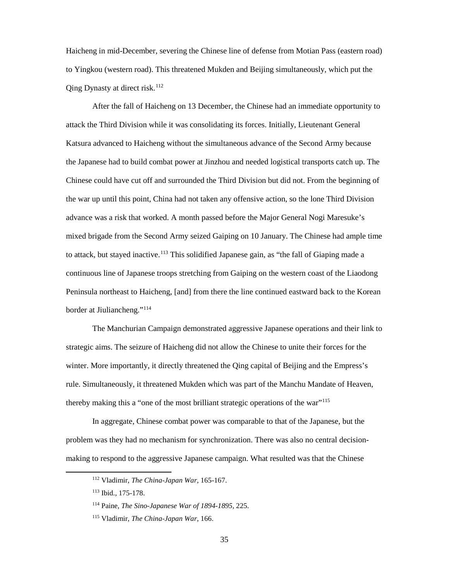Haicheng in mid-December, severing the Chinese line of defense from Motian Pass (eastern road) to Yingkou (western road). This threatened Mukden and Beijing simultaneously, which put the Qing Dynasty at direct risk. [112](#page-42-0)

After the fall of Haicheng on 13 December, the Chinese had an immediate opportunity to attack the Third Division while it was consolidating its forces. Initially, Lieutenant General Katsura advanced to Haicheng without the simultaneous advance of the Second Army because the Japanese had to build combat power at Jinzhou and needed logistical transports catch up. The Chinese could have cut off and surrounded the Third Division but did not. From the beginning of the war up until this point, China had not taken any offensive action, so the lone Third Division advance was a risk that worked. A month passed before the Major General Nogi Maresuke's mixed brigade from the Second Army seized Gaiping on 10 January. The Chinese had ample time to attack, but stayed inactive.<sup>[113](#page-42-1)</sup> This solidified Japanese gain, as "the fall of Giaping made a continuous line of Japanese troops stretching from Gaiping on the western coast of the Liaodong Peninsula northeast to Haicheng, [and] from there the line continued eastward back to the Korean border at Jiuliancheng."[114](#page-42-2)

The Manchurian Campaign demonstrated aggressive Japanese operations and their link to strategic aims. The seizure of Haicheng did not allow the Chinese to unite their forces for the winter. More importantly, it directly threatened the Qing capital of Beijing and the Empress's rule. Simultaneously, it threatened Mukden which was part of the Manchu Mandate of Heaven, thereby making this a "one of the most brilliant strategic operations of the war"<sup>[115](#page-42-3)</sup>

<span id="page-42-0"></span>In aggregate, Chinese combat power was comparable to that of the Japanese, but the problem was they had no mechanism for synchronization. There was also no central decisionmaking to respond to the aggressive Japanese campaign. What resulted was that the Chinese

 <sup>112</sup> Vladimir, *The China-Japan War,* 165-167.

<span id="page-42-1"></span><sup>113</sup> Ibid.*,* 175-178.

<span id="page-42-2"></span><sup>114</sup> Paine, *The Sino-Japanese War of 1894-1895,* 225.

<span id="page-42-3"></span><sup>115</sup> Vladimir, *The China-Japan War,* 166.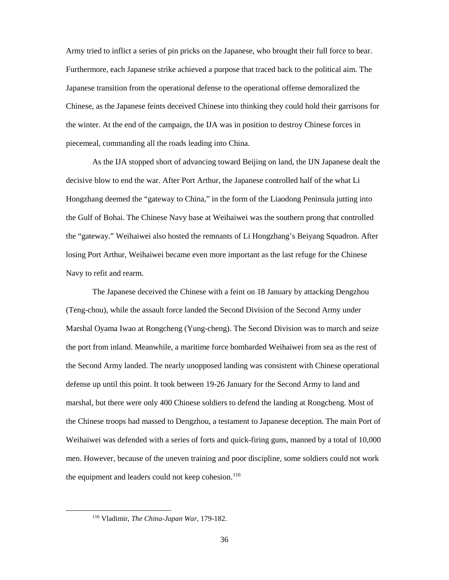Army tried to inflict a series of pin pricks on the Japanese, who brought their full force to bear. Furthermore, each Japanese strike achieved a purpose that traced back to the political aim. The Japanese transition from the operational defense to the operational offense demoralized the Chinese, as the Japanese feints deceived Chinese into thinking they could hold their garrisons for the winter. At the end of the campaign, the IJA was in position to destroy Chinese forces in piecemeal, commanding all the roads leading into China.

As the IJA stopped short of advancing toward Beijing on land, the IJN Japanese dealt the decisive blow to end the war. After Port Arthur, the Japanese controlled half of the what Li Hongzhang deemed the "gateway to China," in the form of the Liaodong Peninsula jutting into the Gulf of Bohai. The Chinese Navy base at Weihaiwei was the southern prong that controlled the "gateway." Weihaiwei also hosted the remnants of Li Hongzhang's Beiyang Squadron. After losing Port Arthur, Weihaiwei became even more important as the last refuge for the Chinese Navy to refit and rearm.

The Japanese deceived the Chinese with a feint on 18 January by attacking Dengzhou (Teng-chou), while the assault force landed the Second Division of the Second Army under Marshal Oyama Iwao at Rongcheng (Yung-cheng). The Second Division was to march and seize the port from inland. Meanwhile, a maritime force bombarded Weihaiwei from sea as the rest of the Second Army landed. The nearly unopposed landing was consistent with Chinese operational defense up until this point. It took between 19-26 January for the Second Army to land and marshal, but there were only 400 Chinese soldiers to defend the landing at Rongcheng. Most of the Chinese troops had massed to Dengzhou, a testament to Japanese deception. The main Port of Weihaiwei was defended with a series of forts and quick-firing guns, manned by a total of 10,000 men. However, because of the uneven training and poor discipline, some soldiers could not work the equipment and leaders could not keep cohesion.<sup>[116](#page-43-0)</sup>

<span id="page-43-0"></span> <sup>116</sup> Vladimir, *The China-Japan War,* 179-182.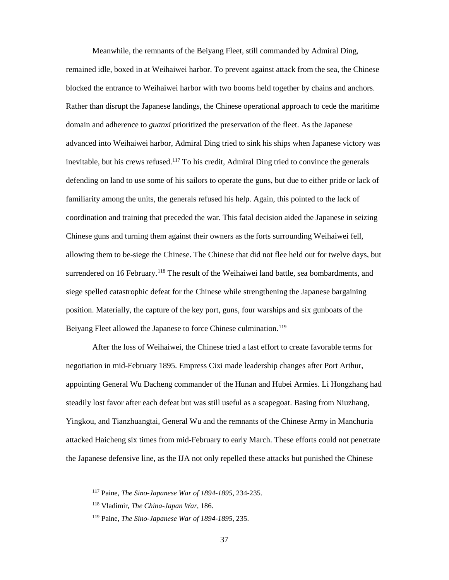Meanwhile, the remnants of the Beiyang Fleet, still commanded by Admiral Ding, remained idle, boxed in at Weihaiwei harbor. To prevent against attack from the sea, the Chinese blocked the entrance to Weihaiwei harbor with two booms held together by chains and anchors. Rather than disrupt the Japanese landings, the Chinese operational approach to cede the maritime domain and adherence to *guanxi* prioritized the preservation of the fleet. As the Japanese advanced into Weihaiwei harbor, Admiral Ding tried to sink his ships when Japanese victory was inevitable, but his crews refused.<sup>[117](#page-44-0)</sup> To his credit, Admiral Ding tried to convince the generals defending on land to use some of his sailors to operate the guns, but due to either pride or lack of familiarity among the units, the generals refused his help. Again, this pointed to the lack of coordination and training that preceded the war. This fatal decision aided the Japanese in seizing Chinese guns and turning them against their owners as the forts surrounding Weihaiwei fell, allowing them to be-siege the Chinese. The Chinese that did not flee held out for twelve days, but surrendered on 16 February.<sup>[118](#page-44-1)</sup> The result of the Weihaiwei land battle, sea bombardments, and siege spelled catastrophic defeat for the Chinese while strengthening the Japanese bargaining position. Materially, the capture of the key port, guns, four warships and six gunboats of the Beiyang Fleet allowed the Japanese to force Chinese culmination. [119](#page-44-2)

After the loss of Weihaiwei, the Chinese tried a last effort to create favorable terms for negotiation in mid-February 1895. Empress Cixi made leadership changes after Port Arthur, appointing General Wu Dacheng commander of the Hunan and Hubei Armies. Li Hongzhang had steadily lost favor after each defeat but was still useful as a scapegoat. Basing from Niuzhang, Yingkou, and Tianzhuangtai, General Wu and the remnants of the Chinese Army in Manchuria attacked Haicheng six times from mid-February to early March. These efforts could not penetrate the Japanese defensive line, as the IJA not only repelled these attacks but punished the Chinese

 <sup>117</sup> Paine, *The Sino-Japanese War of 1894-1895,* 234-235.

<span id="page-44-1"></span><span id="page-44-0"></span><sup>118</sup> Vladimir, *The China-Japan War,* 186.

<span id="page-44-2"></span><sup>119</sup> Paine, *The Sino-Japanese War of 1894-1895,* 235.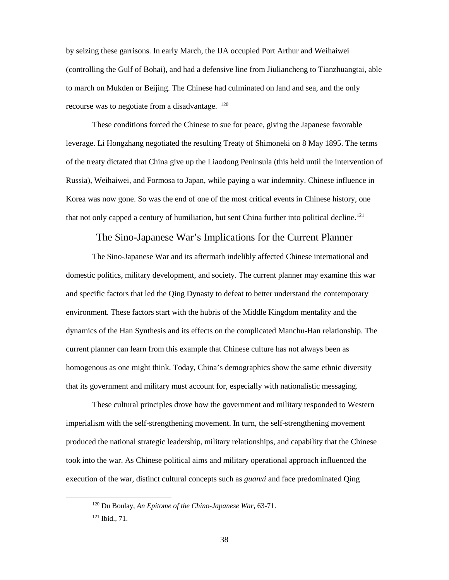by seizing these garrisons. In early March, the IJA occupied Port Arthur and Weihaiwei (controlling the Gulf of Bohai), and had a defensive line from Jiuliancheng to Tianzhuangtai, able to march on Mukden or Beijing. The Chinese had culminated on land and sea, and the only recourse was to negotiate from a disadvantage. [120](#page-45-1)

These conditions forced the Chinese to sue for peace, giving the Japanese favorable leverage. Li Hongzhang negotiated the resulting Treaty of Shimoneki on 8 May 1895. The terms of the treaty dictated that China give up the Liaodong Peninsula (this held until the intervention of Russia), Weihaiwei, and Formosa to Japan, while paying a war indemnity. Chinese influence in Korea was now gone. So was the end of one of the most critical events in Chinese history, one that not only capped a century of humiliation, but sent China further into political decline.<sup>121</sup>

#### The Sino-Japanese War's Implications for the Current Planner

<span id="page-45-0"></span>The Sino-Japanese War and its aftermath indelibly affected Chinese international and domestic politics, military development, and society. The current planner may examine this war and specific factors that led the Qing Dynasty to defeat to better understand the contemporary environment. These factors start with the hubris of the Middle Kingdom mentality and the dynamics of the Han Synthesis and its effects on the complicated Manchu-Han relationship. The current planner can learn from this example that Chinese culture has not always been as homogenous as one might think. Today, China's demographics show the same ethnic diversity that its government and military must account for, especially with nationalistic messaging.

These cultural principles drove how the government and military responded to Western imperialism with the self-strengthening movement. In turn, the self-strengthening movement produced the national strategic leadership, military relationships, and capability that the Chinese took into the war. As Chinese political aims and military operational approach influenced the execution of the war, distinct cultural concepts such as *guanxi* and face predominated Qing

<span id="page-45-2"></span><span id="page-45-1"></span> <sup>120</sup> Du Boulay, *An Epitome of the Chino-Japanese War,* 63-71.

<sup>121</sup> Ibid.*,* 71.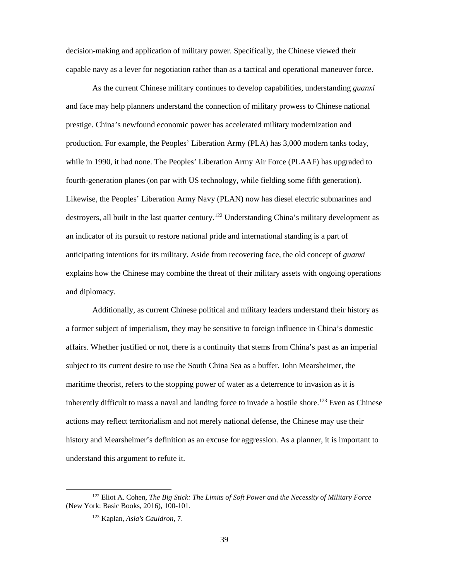decision-making and application of military power. Specifically, the Chinese viewed their capable navy as a lever for negotiation rather than as a tactical and operational maneuver force.

As the current Chinese military continues to develop capabilities, understanding *guanxi*  and face may help planners understand the connection of military prowess to Chinese national prestige. China's newfound economic power has accelerated military modernization and production. For example, the Peoples' Liberation Army (PLA) has 3,000 modern tanks today, while in 1990, it had none. The Peoples' Liberation Army Air Force (PLAAF) has upgraded to fourth-generation planes (on par with US technology, while fielding some fifth generation). Likewise, the Peoples' Liberation Army Navy (PLAN) now has diesel electric submarines and destroyers, all built in the last quarter century.<sup>[122](#page-46-0)</sup> Understanding China's military development as an indicator of its pursuit to restore national pride and international standing is a part of anticipating intentions for its military. Aside from recovering face, the old concept of *guanxi* explains how the Chinese may combine the threat of their military assets with ongoing operations and diplomacy.

Additionally, as current Chinese political and military leaders understand their history as a former subject of imperialism, they may be sensitive to foreign influence in China's domestic affairs. Whether justified or not, there is a continuity that stems from China's past as an imperial subject to its current desire to use the South China Sea as a buffer. John Mearsheimer, the maritime theorist, refers to the stopping power of water as a deterrence to invasion as it is inherently difficult to mass a naval and landing force to invade a hostile shore. [123](#page-46-1) Even as Chinese actions may reflect territorialism and not merely national defense, the Chinese may use their history and Mearsheimer's definition as an excuse for aggression. As a planner, it is important to understand this argument to refute it.

<span id="page-46-1"></span><span id="page-46-0"></span> <sup>122</sup> Eliot A. Cohen, *The Big Stick: The Limits of Soft Power and the Necessity of Military Force* (New York: Basic Books, 2016), 100-101.

<sup>123</sup> Kaplan, *Asia's Cauldron*, 7.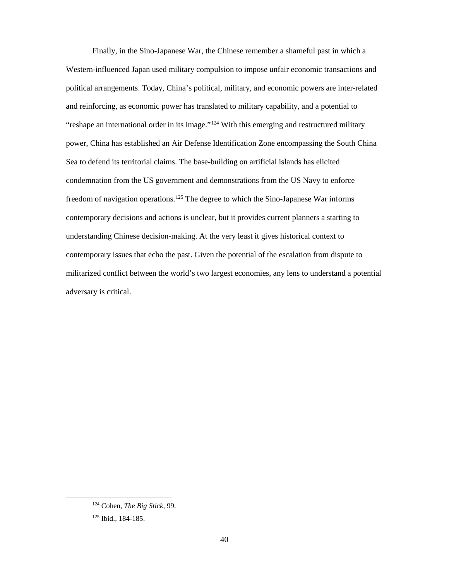Finally, in the Sino-Japanese War, the Chinese remember a shameful past in which a Western-influenced Japan used military compulsion to impose unfair economic transactions and political arrangements. Today, China's political, military, and economic powers are inter-related and reinforcing, as economic power has translated to military capability, and a potential to "reshape an international order in its image."<sup>[124](#page-47-0)</sup> With this emerging and restructured military power, China has established an Air Defense Identification Zone encompassing the South China Sea to defend its territorial claims. The base-building on artificial islands has elicited condemnation from the US government and demonstrations from the US Navy to enforce freedom of navigation operations.<sup>[125](#page-47-1)</sup> The degree to which the Sino-Japanese War informs contemporary decisions and actions is unclear, but it provides current planners a starting to understanding Chinese decision-making. At the very least it gives historical context to contemporary issues that echo the past. Given the potential of the escalation from dispute to militarized conflict between the world's two largest economies, any lens to understand a potential adversary is critical.

<span id="page-47-0"></span> <sup>124</sup> Cohen, *The Big Stick,* 99.

<span id="page-47-1"></span><sup>125</sup> Ibid.*,* 184-185.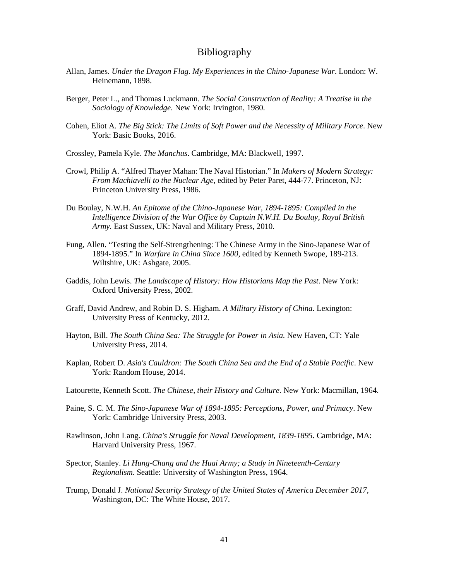## Bibliography

- <span id="page-48-0"></span>Allan, James. *Under the Dragon Flag. My Experiences in the Chino-Japanese War*. London: W. Heinemann, 1898.
- Berger, Peter L., and Thomas Luckmann. *The Social Construction of Reality: A Treatise in the Sociology of Knowledge*. New York: Irvington, 1980.
- Cohen, Eliot A. *The Big Stick: The Limits of Soft Power and the Necessity of Military Force*. New York: Basic Books, 2016.
- Crossley, Pamela Kyle. *The Manchus*. Cambridge, MA: Blackwell, 1997.
- Crowl, Philip A. "Alfred Thayer Mahan: The Naval Historian." In *Makers of Modern Strategy: From Machiavelli to the Nuclear Age,* edited by Peter Paret, 444-77. Princeton, NJ: Princeton University Press, 1986.
- Du Boulay, N.W.H*. An Epitome of the Chino-Japanese War, 1894-1895: Compiled in the Intelligence Division of the War Office by Captain N.W.H. Du Boulay, Royal British Army.* East Sussex, UK: Naval and Military Press, 2010.
- Fung, Allen. "Testing the Self-Strengthening: The Chinese Army in the Sino-Japanese War of 1894-1895." In *Warfare in China Since 1600,* edited by Kenneth Swope, 189-213. Wiltshire, UK: Ashgate, 2005.
- Gaddis, John Lewis. *The Landscape of History: How Historians Map the Past*. New York: Oxford University Press, 2002.
- Graff, David Andrew, and Robin D. S. Higham. *A Military History of China*. Lexington: University Press of Kentucky, 2012.
- Hayton, Bill. *The South China Sea: The Struggle for Power in Asia.* New Haven, CT: Yale University Press, 2014.
- Kaplan, Robert D. *Asia's Cauldron: The South China Sea and the End of a Stable Pacific*. New York: Random House, 2014.
- Latourette, Kenneth Scott. *The Chinese, their History and Culture*. New York: Macmillan, 1964.
- Paine, S. C. M. *The Sino-Japanese War of 1894-1895: Perceptions, Power, and Primacy*. New York: Cambridge University Press, 2003.
- Rawlinson, John Lang. *China's Struggle for Naval Development, 1839-1895*. Cambridge, MA: Harvard University Press, 1967.
- Spector, Stanley. *Li Hung-Chang and the Huai Army; a Study in Nineteenth-Century Regionalism*. Seattle: University of Washington Press, 1964.
- Trump, Donald J. *National Security Strategy of the United States of America December 2017,*  Washington, DC: The White House, 2017.